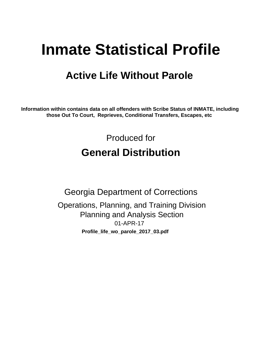# **Inmate Statistical Profile**

## **Active Life Without Parole**

Information within contains data on all offenders with Scribe Status of INMATE, including those Out To Court, Reprieves, Conditional Transfers, Escapes, etc

> Produced for **General Distribution**

**Georgia Department of Corrections** Operations, Planning, and Training Division **Planning and Analysis Section** 01-APR-17 Profile\_life\_wo\_parole\_2017\_03.pdf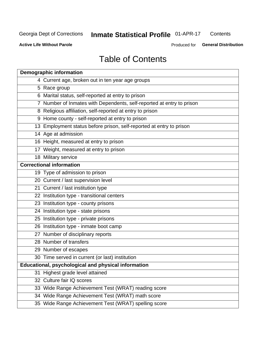#### **Inmate Statistical Profile 01-APR-17** Contents

**Active Life Without Parole** 

Produced for General Distribution

## **Table of Contents**

|    | <b>Demographic information</b>                                        |
|----|-----------------------------------------------------------------------|
|    | 4 Current age, broken out in ten year age groups                      |
|    | 5 Race group                                                          |
|    | 6 Marital status, self-reported at entry to prison                    |
|    | 7 Number of Inmates with Dependents, self-reported at entry to prison |
|    | 8 Religious affiliation, self-reported at entry to prison             |
|    | 9 Home county - self-reported at entry to prison                      |
|    | 13 Employment status before prison, self-reported at entry to prison  |
|    | 14 Age at admission                                                   |
|    | 16 Height, measured at entry to prison                                |
|    | 17 Weight, measured at entry to prison                                |
|    | 18 Military service                                                   |
|    | <b>Correctional information</b>                                       |
|    | 19 Type of admission to prison                                        |
|    | 20 Current / last supervision level                                   |
|    | 21 Current / last institution type                                    |
|    | 22 Institution type - transitional centers                            |
|    | 23 Institution type - county prisons                                  |
|    | 24 Institution type - state prisons                                   |
|    | 25 Institution type - private prisons                                 |
|    | 26 Institution type - inmate boot camp                                |
|    | 27 Number of disciplinary reports                                     |
|    | 28 Number of transfers                                                |
|    | 29 Number of escapes                                                  |
|    | 30 Time served in current (or last) institution                       |
|    | Educational, psychological and physical information                   |
| 31 | Highest grade level attained                                          |
|    | 32 Culture fair IQ scores                                             |
|    | 33 Wide Range Achievement Test (WRAT) reading score                   |
|    | 34 Wide Range Achievement Test (WRAT) math score                      |
|    | 35 Wide Range Achievement Test (WRAT) spelling score                  |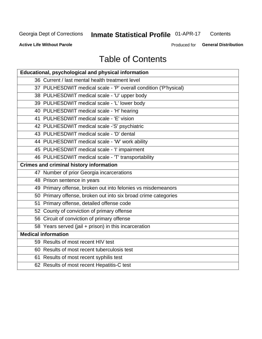## **Inmate Statistical Profile 01-APR-17**

Contents

**Active Life Without Parole** 

Produced for General Distribution

## **Table of Contents**

| Educational, psychological and physical information              |
|------------------------------------------------------------------|
| 36 Current / last mental health treatment level                  |
| 37 PULHESDWIT medical scale - 'P' overall condition ('P'hysical) |
| 38 PULHESDWIT medical scale - 'U' upper body                     |
| 39 PULHESDWIT medical scale - 'L' lower body                     |
| 40 PULHESDWIT medical scale - 'H' hearing                        |
| 41 PULHESDWIT medical scale - 'E' vision                         |
| 42 PULHESDWIT medical scale -'S' psychiatric                     |
| 43 PULHESDWIT medical scale - 'D' dental                         |
| 44 PULHESDWIT medical scale - 'W' work ability                   |
| 45 PULHESDWIT medical scale - 'I' impairment                     |
| 46 PULHESDWIT medical scale - 'T' transportability               |
| <b>Crimes and criminal history information</b>                   |
| 47 Number of prior Georgia incarcerations                        |
| 48 Prison sentence in years                                      |
| 49 Primary offense, broken out into felonies vs misdemeanors     |
| 50 Primary offense, broken out into six broad crime categories   |
| 51 Primary offense, detailed offense code                        |
| 52 County of conviction of primary offense                       |
| 56 Circuit of conviction of primary offense                      |
| 58 Years served (jail + prison) in this incarceration            |
| <b>Medical information</b>                                       |
| 59 Results of most recent HIV test                               |
| 60 Results of most recent tuberculosis test                      |
| 61 Results of most recent syphilis test                          |
| 62 Results of most recent Hepatitis-C test                       |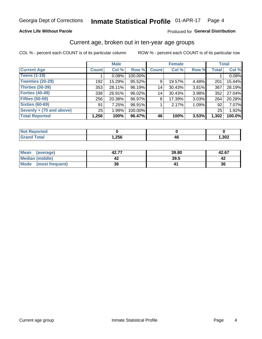### **Active Life Without Parole**

### Produced for General Distribution

### Current age, broken out in ten-year age groups

COL % - percent each COUNT is of its particular column

|                          | <b>Male</b>  |        |         | <b>Female</b> |        |          | <b>Total</b> |        |
|--------------------------|--------------|--------|---------|---------------|--------|----------|--------------|--------|
| <b>Current Age</b>       | <b>Count</b> | Col %  | Row %   | <b>Count</b>  | Col %  | Row %    | <b>Total</b> | Col %  |
| <b>Teens (1-19)</b>      |              | 0.08%  | 100.00% |               |        |          |              | 0.08%  |
| <b>Twenties (20-29)</b>  | 192          | 15.29% | 95.52%  | 9             | 19.57% | 4.48%    | 201          | 15.44% |
| Thirties (30-39)         | 353          | 28.11% | 96.19%  | 14            | 30.43% | 3.81%    | 367          | 28.19% |
| <b>Forties (40-49)</b>   | 338          | 26.91% | 96.02%  | 14            | 30.43% | 3.98%    | 352          | 27.04% |
| <b>Fifties (50-59)</b>   | 256          | 20.38% | 96.97%  | 8             | 17.39% | $3.03\%$ | 264          | 20.28% |
| <b>Sixties (60-69)</b>   | 91           | 7.25%  | 98.91%  |               | 2.17%  | 1.09%    | 92           | 7.07%  |
| Seventy + (70 and above) | 25           | 1.99%  | 100.00% |               |        |          | 25           | 1.92%  |
| <b>Total Reported</b>    | 1,256        | 100%   | 96.47%  | 46            | 100%   | 3.53%    | 1,302        | 100.0% |

| <b>Continued and</b>  |      |      |
|-----------------------|------|------|
| $f \wedge f \wedge f$ | ,256 | ,302 |

| <b>Mean</b><br>(average) | 42.77 | 39.80 | 42.67 |
|--------------------------|-------|-------|-------|
| Median (middle)          |       | 39.5  |       |
| Mode<br>(most frequent)  | 36    |       | 36    |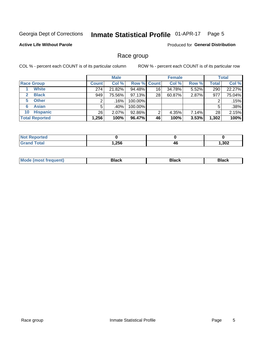#### Inmate Statistical Profile 01-APR-17 Page 5

### **Active Life Without Parole**

Produced for General Distribution

### Race group

COL % - percent each COUNT is of its particular column

|                              |              | <b>Male</b> |                    | <b>Female</b> |        |       | <b>Total</b> |        |
|------------------------------|--------------|-------------|--------------------|---------------|--------|-------|--------------|--------|
| <b>Race Group</b>            | <b>Count</b> | Col %       | <b>Row % Count</b> |               | Col %  | Row % | <b>Total</b> | Col %  |
| <b>White</b>                 | 274          | 21.82%      | 94.48%             | 16            | 34.78% | 5.52% | 290          | 22.27% |
| <b>Black</b><br>$\mathbf{2}$ | 949          | 75.56%      | $97.13\%$          | 28            | 60.87% | 2.87% | 977          | 75.04% |
| <b>Other</b><br>5.           |              | .16%        | 100.00%            |               |        |       | 2            | .15%   |
| <b>Asian</b><br>6            | 5            | .40% !      | 100.00%            |               |        |       | 5            | .38%   |
| <b>Hispanic</b><br>10        | 26           | 2.07%       | 92.86%             | 2             | 4.35%  | 7.14% | 28           | 2.15%  |
| <b>Total Reported</b>        | 1,256        | 100%        | 96.47%             | 46            | 100%   | 3.53% | 1,302        | 100%   |

| теа |      |    |      |
|-----|------|----|------|
|     | .256 | 4t | ,302 |

| M |  |  |
|---|--|--|
|   |  |  |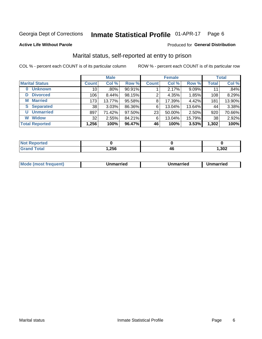#### Inmate Statistical Profile 01-APR-17 Page 6

#### **Active Life Without Parole**

#### Produced for General Distribution

## Marital status, self-reported at entry to prison

COL % - percent each COUNT is of its particular column

|                            | <b>Male</b>     |          |        | <b>Female</b> |        |        | <b>Total</b> |        |
|----------------------------|-----------------|----------|--------|---------------|--------|--------|--------------|--------|
| <b>Marital Status</b>      | <b>Count</b>    | Col %    | Row %  | <b>Count</b>  | Col %  | Row %  | <b>Total</b> | Col %  |
| <b>Unknown</b><br>$\bf{0}$ | 10 <sub>1</sub> | $.80\%$  | 90.91% |               | 2.17%  | 9.09%  | 11           | .84%   |
| <b>Divorced</b><br>D       | 106             | $8.44\%$ | 98.15% | 2             | 4.35%  | 1.85%  | 108          | 8.29%  |
| <b>Married</b><br>М        | 173             | 13.77%   | 95.58% | 8             | 17.39% | 4.42%  | 181          | 13.90% |
| <b>Separated</b><br>S.     | 38              | 3.03%    | 86.36% | 6             | 13.04% | 13.64% | 44           | 3.38%  |
| <b>Unmarried</b><br>U      | 897             | 71.42%   | 97.50% | 23            | 50.00% | 2.50%  | 920          | 70.66% |
| <b>Widow</b><br>W          | 32              | 2.55%    | 84.21% | 6             | 13.04% | 15.79% | 38           | 2.92%  |
| <b>Total Reported</b>      | 1,256           | 100%     | 96.47% | 46            | 100%   | 3.53%  | 1,302        | 100%   |

| <b>Not Reported</b><br>$\sim$ . The set of $\sim$ |      |    |      |
|---------------------------------------------------|------|----|------|
| Total                                             | ,256 | 46 | ,302 |

|--|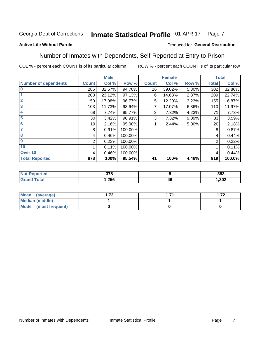#### Inmate Statistical Profile 01-APR-17 Page 7

### **Active Life Without Parole**

### Produced for General Distribution

### Number of Inmates with Dependents, Self-Reported at Entry to Prison

COL % - percent each COUNT is of its particular column

| <b>Male</b>                 |                 |        |         |              | <b>Female</b> |       | <b>Total</b> |        |
|-----------------------------|-----------------|--------|---------|--------------|---------------|-------|--------------|--------|
| <b>Number of dependents</b> | <b>Count</b>    | Col %  | Row %   | <b>Count</b> | Col %         | Row % | <b>Total</b> | Col %  |
| $\bf{0}$                    | 286             | 32.57% | 94.70%  | 16           | 39.02%        | 5.30% | 302          | 32.86% |
|                             | 203             | 23.12% | 97.13%  | 6            | 14.63%        | 2.87% | 209          | 22.74% |
| $\overline{2}$              | 150             | 17.08% | 96.77%  | 5            | 12.20%        | 3.23% | 155          | 16.87% |
| 3                           | 103             | 11.73% | 93.64%  |              | 17.07%        | 6.36% | 110          | 11.97% |
| 4                           | 68              | 7.74%  | 95.77%  | 3            | 7.32%         | 4.23% | 71           | 7.73%  |
| 5                           | 30 <sub>1</sub> | 3.42%  | 90.91%  | 3            | 7.32%         | 9.09% | 33           | 3.59%  |
| $6\phantom{1}6$             | 19              | 2.16%  | 95.00%  |              | 2.44%         | 5.00% | 20           | 2.18%  |
| 7                           | 8               | 0.91%  | 100.00% |              |               |       | 8            | 0.87%  |
| $\overline{\mathbf{8}}$     | 4               | 0.46%  | 100.00% |              |               |       | 4            | 0.44%  |
| $\boldsymbol{9}$            | 2               | 0.23%  | 100.00% |              |               |       | 2            | 0.22%  |
| 10                          |                 | 0.11%  | 100.00% |              |               |       |              | 0.11%  |
| Over 10                     | 4               | 0.46%  | 100.00% |              |               |       | 4            | 0.44%  |
| <b>Total Reported</b>       | 878             | 100%   | 95.54%  | 41           | 100%          | 4.46% | 919          | 100.0% |

| uau | 270<br>uıu |    | 383  |
|-----|------------|----|------|
|     | .256       | 4t | ,302 |

| Mean (average)          | 70 | 70<br>. |
|-------------------------|----|---------|
| <b>Median (middle)</b>  |    |         |
| Mode<br>(most frequent) |    |         |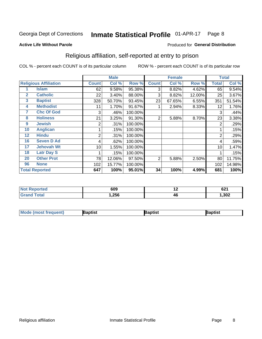#### Inmate Statistical Profile 01-APR-17 Page 8

#### **Active Life Without Parole**

#### Produced for General Distribution

## Religious affiliation, self-reported at entry to prison

COL % - percent each COUNT is of its particular column

|              |                              |              | <b>Male</b> |         |                | <b>Female</b> |        |       | <b>Total</b> |
|--------------|------------------------------|--------------|-------------|---------|----------------|---------------|--------|-------|--------------|
|              | <b>Religious Affiliation</b> | <b>Count</b> | Col %       | Row %   | <b>Count</b>   | Col %         | Row %  | Total | Col %        |
|              | <b>Islam</b>                 | 62           | 9.58%       | 95.38%  | 3              | 8.82%         | 4.62%  | 65    | 9.54%        |
| $\mathbf{2}$ | <b>Catholic</b>              | 22           | 3.40%       | 88.00%  | 3              | 8.82%         | 12.00% | 25    | 3.67%        |
| 3            | <b>Baptist</b>               | 328          | 50.70%      | 93.45%  | 23             | 67.65%        | 6.55%  | 351   | 51.54%       |
| 4            | <b>Methodist</b>             | 11           | 1.70%       | 91.67%  |                | 2.94%         | 8.33%  | 12    | 1.76%        |
| 7            | <b>Chc Of God</b>            | 3            | .46%        | 100.00% |                |               |        | 3     | .44%         |
| 8            | <b>Holiness</b>              | 21           | 3.25%       | 91.30%  | $\overline{2}$ | 5.88%         | 8.70%  | 23    | 3.38%        |
| 9            | <b>Jewish</b>                | 2            | .31%        | 100.00% |                |               |        | 2     | .29%         |
| 10           | <b>Anglican</b>              |              | .15%        | 100.00% |                |               |        |       | .15%         |
| 12           | <b>Hindu</b>                 | 2            | .31%        | 100.00% |                |               |        | 2     | .29%         |
| 16           | <b>Seven D Ad</b>            | 4            | .62%        | 100.00% |                |               |        | 4     | .59%         |
| 17           | <b>Jehovah Wt</b>            | 10           | 1.55%       | 100.00% |                |               |        | 10    | 1.47%        |
| 18           | <b>Latr Day S</b>            |              | .15%        | 100.00% |                |               |        |       | .15%         |
| 20           | <b>Other Prot</b>            | 78           | 12.06%      | 97.50%  | 2              | 5.88%         | 2.50%  | 80    | 11.75%       |
| 96           | <b>None</b>                  | 102          | 15.77%      | 100.00% |                |               |        | 102   | 14.98%       |
|              | <b>Total Reported</b>        | 647          | 100%        | 95.01%  | 34             | 100%          | 4.99%  | 681   | 100%         |

| rtea<br> | 609  | . . | cn4<br>OZ I |
|----------|------|-----|-------------|
|          | ,256 | 46  | ,302        |

| <b>Mode (most frequent)</b> | 3aptist | 3aptist | Baptist |
|-----------------------------|---------|---------|---------|
|-----------------------------|---------|---------|---------|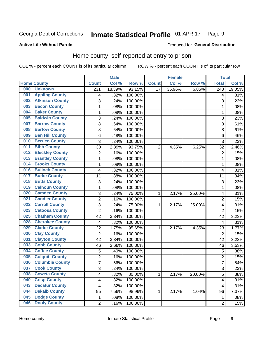#### Inmate Statistical Profile 01-APR-17 Page 9

### **Active Life Without Parole**

#### Produced for General Distribution

## Home county, self-reported at entry to prison

COL % - percent each COUNT is of its particular column

|     |                        |                | <b>Male</b> |                  |                 | <b>Female</b> |        | <b>Total</b>     |        |
|-----|------------------------|----------------|-------------|------------------|-----------------|---------------|--------|------------------|--------|
|     | <b>Home County</b>     | <b>Count</b>   | Col%        | Row <sup>%</sup> | <b>Count</b>    | Col %         | Row %  | <b>Total</b>     | Col %  |
| 000 | <b>Unknown</b>         | 231            | 18.39%      | 93.15%           | $\overline{17}$ | 36.96%        | 6.85%  | $\overline{248}$ | 19.05% |
| 001 | <b>Appling County</b>  | 4              | .32%        | 100.00%          |                 |               |        | 4                | .31%   |
| 002 | <b>Atkinson County</b> | 3              | .24%        | 100.00%          |                 |               |        | 3                | .23%   |
| 003 | <b>Bacon County</b>    | 1              | .08%        | 100.00%          |                 |               |        | 1                | .08%   |
| 004 | <b>Baker County</b>    | $\mathbf 1$    | .08%        | 100.00%          |                 |               |        | 1                | .08%   |
| 005 | <b>Baldwin County</b>  | 3              | .24%        | 100.00%          |                 |               |        | 3                | .23%   |
| 007 | <b>Barrow County</b>   | 8              | .64%        | 100.00%          |                 |               |        | 8                | .61%   |
| 008 | <b>Bartow County</b>   | 8              | .64%        | 100.00%          |                 |               |        | 8                | .61%   |
| 009 | <b>Ben Hill County</b> | 6              | .48%        | 100.00%          |                 |               |        | 6                | .46%   |
| 010 | <b>Berrien County</b>  | 3              | .24%        | 100.00%          |                 |               |        | 3                | .23%   |
| 011 | <b>Bibb County</b>     | 30             | 2.39%       | 93.75%           | 2               | 4.35%         | 6.25%  | 32               | 2.46%  |
| 012 | <b>Bleckley County</b> | $\overline{2}$ | .16%        | 100.00%          |                 |               |        | $\overline{2}$   | .15%   |
| 013 | <b>Brantley County</b> | $\mathbf{1}$   | .08%        | 100.00%          |                 |               |        | 1                | .08%   |
| 014 | <b>Brooks County</b>   | $\mathbf 1$    | .08%        | 100.00%          |                 |               |        | 1                | .08%   |
| 016 | <b>Bulloch County</b>  | 4              | .32%        | 100.00%          |                 |               |        | 4                | .31%   |
| 017 | <b>Burke County</b>    | 11             | .88%        | 100.00%          |                 |               |        | 11               | .84%   |
| 018 | <b>Butts County</b>    | 3              | .24%        | 100.00%          |                 |               |        | 3                | .23%   |
| 019 | <b>Calhoun County</b>  | $\mathbf 1$    | .08%        | 100.00%          |                 |               |        | 1                | .08%   |
| 020 | <b>Camden County</b>   | 3              | .24%        | 75.00%           | 1               | 2.17%         | 25.00% | 4                | .31%   |
| 021 | <b>Candler County</b>  | $\overline{2}$ | .16%        | 100.00%          |                 |               |        | $\overline{2}$   | .15%   |
| 022 | <b>Carroll County</b>  | 3              | .24%        | 75.00%           | 1               | 2.17%         | 25.00% | 4                | .31%   |
| 023 | <b>Catoosa County</b>  | $\overline{2}$ | .16%        | 100.00%          |                 |               |        | $\overline{2}$   | .15%   |
| 025 | <b>Chatham County</b>  | 42             | 3.34%       | 100.00%          |                 |               |        | 42               | 3.23%  |
| 028 | <b>Cherokee County</b> | 4              | .32%        | 100.00%          |                 |               |        | 4                | .31%   |
| 029 | <b>Clarke County</b>   | 22             | 1.75%       | 95.65%           | 1               | 2.17%         | 4.35%  | 23               | 1.77%  |
| 030 | <b>Clay County</b>     | $\overline{2}$ | .16%        | 100.00%          |                 |               |        | $\overline{2}$   | .15%   |
| 031 | <b>Clayton County</b>  | 42             | 3.34%       | 100.00%          |                 |               |        | 42               | 3.23%  |
| 033 | <b>Cobb County</b>     | 46             | 3.66%       | 100.00%          |                 |               |        | 46               | 3.53%  |
| 034 | <b>Coffee County</b>   | 5              | .40%        | 100.00%          |                 |               |        | 5                | .38%   |
| 035 | <b>Colquitt County</b> | $\overline{2}$ | .16%        | 100.00%          |                 |               |        | $\overline{2}$   | .15%   |
| 036 | <b>Columbia County</b> | $\overline{7}$ | .56%        | 100.00%          |                 |               |        | 7                | .54%   |
| 037 | <b>Cook County</b>     | 3              | .24%        | 100.00%          |                 |               |        | 3                | .23%   |
| 038 | <b>Coweta County</b>   | 4              | .32%        | 80.00%           | $\mathbf{1}$    | 2.17%         | 20.00% | 5                | .38%   |
| 040 | <b>Crisp County</b>    | 4              | .32%        | 100.00%          |                 |               |        | 4                | .31%   |
| 043 | <b>Decatur County</b>  | 4              | .32%        | 100.00%          |                 |               |        | 4                | .31%   |
| 044 | <b>Dekalb County</b>   | 95             | 7.56%       | 98.96%           | 1               | 2.17%         | 1.04%  | 96               | 7.37%  |
| 045 | <b>Dodge County</b>    | 1              | .08%        | 100.00%          |                 |               |        | 1                | .08%   |
| 046 | <b>Dooly County</b>    | $\overline{2}$ | .16%        | 100.00%          |                 |               |        | $\overline{2}$   | .15%   |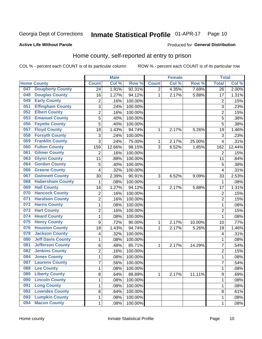#### Inmate Statistical Profile 01-APR-17 Page 10

#### **Active Life Without Parole**

#### Produced for General Distribution

## Home county, self-reported at entry to prison

COL % - percent each COUNT is of its particular column

|     |                          |                         | <b>Male</b> |         |                | <b>Female</b> |        | <b>Total</b>            |        |
|-----|--------------------------|-------------------------|-------------|---------|----------------|---------------|--------|-------------------------|--------|
|     | <b>Home County</b>       | <b>Count</b>            | Col %       | Row %   | <b>Count</b>   | Col %         | Row %  | <b>Total</b>            | Col %  |
| 047 | <b>Dougherty County</b>  | 24                      | 1.91%       | 92.31%  | $\overline{2}$ | 4.35%         | 7.69%  | 26                      | 2.00%  |
| 048 | <b>Douglas County</b>    | 16                      | 1.27%       | 94.12%  | 1              | 2.17%         | 5.88%  | 17                      | 1.31%  |
| 049 | <b>Early County</b>      | 2                       | .16%        | 100.00% |                |               |        | $\overline{2}$          | .15%   |
| 051 | <b>Effingham County</b>  | 3                       | .24%        | 100.00% |                |               |        | 3                       | .23%   |
| 052 | <b>Elbert County</b>     | $\overline{c}$          | .16%        | 100.00% |                |               |        | $\overline{2}$          | .15%   |
| 053 | <b>Emanuel County</b>    | 5                       | .40%        | 100.00% |                |               |        | 5                       | .38%   |
| 056 | <b>Fayette County</b>    | 5                       | .40%        | 100.00% |                |               |        | 5                       | .38%   |
| 057 | <b>Floyd County</b>      | 18                      | 1.43%       | 94.74%  | 1              | 2.17%         | 5.26%  | 19                      | 1.46%  |
| 058 | <b>Forsyth County</b>    | 3                       | .24%        | 100.00% |                |               |        | 3                       | .23%   |
| 059 | <b>Franklin County</b>   | 3                       | .24%        | 75.00%  | 1              | 2.17%         | 25.00% | $\overline{4}$          | .31%   |
| 060 | <b>Fulton County</b>     | 159                     | 12.66%      | 98.15%  | 3              | 6.52%         | 1.85%  | 162                     | 12.44% |
| 061 | <b>Gilmer County</b>     | $\overline{2}$          | .16%        | 100.00% |                |               |        | $\overline{2}$          | .15%   |
| 063 | <b>Glynn County</b>      | 11                      | .88%        | 100.00% |                |               |        | 11                      | .84%   |
| 064 | <b>Gordon County</b>     | 5                       | .40%        | 100.00% |                |               |        | 5                       | .38%   |
| 066 | <b>Greene County</b>     | 4                       | .32%        | 100.00% |                |               |        | $\overline{4}$          | .31%   |
| 067 | <b>Gwinnett County</b>   | 30                      | 2.39%       | 90.91%  | 3              | 6.52%         | 9.09%  | 33                      | 2.53%  |
| 068 | <b>Habersham County</b>  | 1                       | .08%        | 100.00% |                |               |        | 1                       | .08%   |
| 069 | <b>Hall County</b>       | 16                      | 1.27%       | 94.12%  | 1              | 2.17%         | 5.88%  | 17                      | 1.31%  |
| 070 | <b>Hancock County</b>    | $\overline{\mathbf{c}}$ | .16%        | 100.00% |                |               |        | $\overline{2}$          | .15%   |
| 071 | <b>Haralson County</b>   | $\overline{2}$          | .16%        | 100.00% |                |               |        | $\overline{2}$          | .15%   |
| 072 | <b>Harris County</b>     | $\mathbf 1$             | .08%        | 100.00% |                |               |        | 1                       | .08%   |
| 073 | <b>Hart County</b>       | $\overline{2}$          | .16%        | 100.00% |                |               |        | $\overline{2}$          | .15%   |
| 074 | <b>Heard County</b>      | $\mathbf{1}$            | .08%        | 100.00% |                |               |        | 1                       | .08%   |
| 075 | <b>Henry County</b>      | $\boldsymbol{9}$        | .72%        | 90.00%  | 1              | 2.17%         | 10.00% | 10                      | .77%   |
| 076 | <b>Houston County</b>    | 18                      | 1.43%       | 94.74%  | 1              | 2.17%         | 5.26%  | 19                      | 1.46%  |
| 078 | <b>Jackson County</b>    | 4                       | .32%        | 100.00% |                |               |        | $\overline{\mathbf{4}}$ | .31%   |
| 080 | <b>Jeff Davis County</b> | $\mathbf 1$             | .08%        | 100.00% |                |               |        | 1                       | .08%   |
| 081 | <b>Jefferson County</b>  | 6                       | .48%        | 85.71%  | 1              | 2.17%         | 14.29% | 7                       | .54%   |
| 082 | <b>Jenkins County</b>    | $\overline{c}$          | .16%        | 100.00% |                |               |        | $\overline{2}$          | .15%   |
| 084 | <b>Jones County</b>      | $\mathbf{1}$            | .08%        | 100.00% |                |               |        | 1                       | .08%   |
| 087 | <b>Laurens County</b>    | $\overline{7}$          | .56%        | 100.00% |                |               |        | 7                       | .54%   |
| 088 | <b>Lee County</b>        | 1                       | .08%        | 100.00% |                |               |        | 1                       | .08%   |
| 089 | <b>Liberty County</b>    | 8                       | .64%        | 88.89%  | $\mathbf{1}$   | 2.17%         | 11.11% | 9                       | .69%   |
| 090 | <b>Lincoln County</b>    | $\mathbf{1}$            | .08%        | 100.00% |                |               |        | 1                       | .08%   |
| 091 | <b>Long County</b>       | $\mathbf{1}$            | .08%        | 100.00% |                |               |        | 1                       | .08%   |
| 092 | <b>Lowndes County</b>    | 8                       | .64%        | 100.00% |                |               |        | 8                       | .61%   |
| 093 | <b>Lumpkin County</b>    | $\mathbf{1}$            | .08%        | 100.00% |                |               |        | 1                       | .08%   |
| 094 | <b>Macon County</b>      | $\mathbf{1}$            | .08%        | 100.00% |                |               |        | 1                       | .08%   |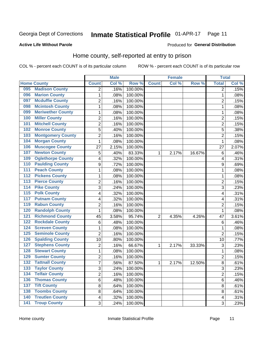#### Inmate Statistical Profile 01-APR-17 Page 11

#### **Active Life Without Parole**

#### Produced for General Distribution

## Home county, self-reported at entry to prison

COL % - percent each COUNT is of its particular column

|                  |                          |                          | <b>Male</b> |         |                | <b>Female</b> |        | <b>Total</b>   |       |
|------------------|--------------------------|--------------------------|-------------|---------|----------------|---------------|--------|----------------|-------|
|                  | <b>Home County</b>       | <b>Count</b>             | Col %       | Row %   | <b>Count</b>   | Col %         | Row %  | <b>Total</b>   | Col % |
| 095              | <b>Madison County</b>    | $\overline{2}$           | .16%        | 100.00% |                |               |        | 2              | .15%  |
| 096              | <b>Marion County</b>     | 1                        | .08%        | 100.00% |                |               |        | 1              | .08%  |
| 097              | <b>Mcduffie County</b>   | 2                        | .16%        | 100.00% |                |               |        | 2              | .15%  |
| 098              | <b>Mcintosh County</b>   | $\mathbf{1}$             | .08%        | 100.00% |                |               |        | 1              | .08%  |
| 099              | <b>Meriwether County</b> | $\mathbf{1}$             | .08%        | 100.00% |                |               |        | 1              | .08%  |
| 100              | <b>Miller County</b>     | $\overline{2}$           | .16%        | 100.00% |                |               |        | $\overline{2}$ | .15%  |
| 101              | <b>Mitchell County</b>   | $\overline{c}$           | .16%        | 100.00% |                |               |        | $\overline{c}$ | .15%  |
| 102              | <b>Monroe County</b>     | 5                        | .40%        | 100.00% |                |               |        | 5              | .38%  |
| 103              | <b>Montgomery County</b> | 2                        | .16%        | 100.00% |                |               |        | $\overline{c}$ | .15%  |
| 104              | <b>Morgan County</b>     | $\mathbf{1}$             | .08%        | 100.00% |                |               |        | 1              | .08%  |
| 106              | <b>Muscogee County</b>   | 27                       | 2.15%       | 100.00% |                |               |        | 27             | 2.07% |
| 107              | <b>Newton County</b>     | 5                        | .40%        | 83.33%  | 1              | 2.17%         | 16.67% | 6              | .46%  |
| 109              | <b>Oglethorpe County</b> | $\overline{\mathcal{A}}$ | .32%        | 100.00% |                |               |        | 4              | .31%  |
| 110              | <b>Paulding County</b>   | $\boldsymbol{9}$         | .72%        | 100.00% |                |               |        | 9              | .69%  |
| 111              | <b>Peach County</b>      | $\mathbf{1}$             | .08%        | 100.00% |                |               |        | 1              | .08%  |
| 112              | <b>Pickens County</b>    | 1                        | .08%        | 100.00% |                |               |        | 1              | .08%  |
| 113              | <b>Pierce County</b>     | 2                        | .16%        | 100.00% |                |               |        | 2              | .15%  |
| 114              | <b>Pike County</b>       | 3                        | .24%        | 100.00% |                |               |        | 3              | .23%  |
| $\overline{115}$ | <b>Polk County</b>       | 4                        | .32%        | 100.00% |                |               |        | 4              | .31%  |
| 117              | <b>Putnam County</b>     | 4                        | .32%        | 100.00% |                |               |        | 4              | .31%  |
| 119              | <b>Rabun County</b>      | 2                        | .16%        | 100.00% |                |               |        | 2              | .15%  |
| 120              | <b>Randolph County</b>   | $\mathbf{1}$             | .08%        | 100.00% |                |               |        | 1              | .08%  |
| 121              | <b>Richmond County</b>   | 45                       | 3.58%       | 95.74%  | $\overline{2}$ | 4.35%         | 4.26%  | 47             | 3.61% |
| 122              | <b>Rockdale County</b>   | $\,6$                    | .48%        | 100.00% |                |               |        | 6              | .46%  |
| 124              | <b>Screven County</b>    | 1                        | .08%        | 100.00% |                |               |        | 1              | .08%  |
| 125              | <b>Seminole County</b>   | $\overline{2}$           | .16%        | 100.00% |                |               |        | $\overline{2}$ | .15%  |
| 126              | <b>Spalding County</b>   | 10                       | .80%        | 100.00% |                |               |        | 10             | .77%  |
| 127              | <b>Stephens County</b>   | $\overline{2}$           | .16%        | 66.67%  | 1              | 2.17%         | 33.33% | 3              | .23%  |
| 128              | <b>Stewart County</b>    | 1                        | .08%        | 100.00% |                |               |        | 1              | .08%  |
| 129              | <b>Sumter County</b>     | $\boldsymbol{2}$         | .16%        | 100.00% |                |               |        | $\overline{2}$ | .15%  |
| 132              | <b>Tattnall County</b>   | $\overline{7}$           | .56%        | 87.50%  | 1              | 2.17%         | 12.50% | 8              | .61%  |
| 133              | <b>Taylor County</b>     | 3                        | .24%        | 100.00% |                |               |        | 3              | .23%  |
| 134              | <b>Telfair County</b>    | $\overline{2}$           | .16%        | 100.00% |                |               |        | 2              | .15%  |
| 136              | <b>Thomas County</b>     | 6                        | .48%        | 100.00% |                |               |        | 6              | .46%  |
| 137              | <b>Tift County</b>       | 8                        | .64%        | 100.00% |                |               |        | 8              | .61%  |
| 138              | <b>Toombs County</b>     | 8                        | .64%        | 100.00% |                |               |        | 8              | .61%  |
| 140              | <b>Treutlen County</b>   | $\overline{4}$           | .32%        | 100.00% |                |               |        | 4              | .31%  |
| $\overline{141}$ | <b>Troup County</b>      | 3                        | .24%        | 100.00% |                |               |        | 3              | .23%  |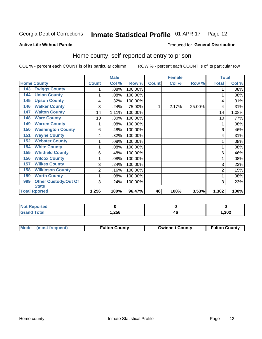#### Inmate Statistical Profile 01-APR-17 Page 12

#### **Active Life Without Parole**

#### Produced for General Distribution

## Home county, self-reported at entry to prison

COL % - percent each COUNT is of its particular column

|                                    |              | <b>Male</b> |         |              | <b>Female</b> |        | <b>Total</b> |       |
|------------------------------------|--------------|-------------|---------|--------------|---------------|--------|--------------|-------|
| <b>Home County</b>                 | <b>Count</b> | Col %       | Row %   | <b>Count</b> | Col %         | Row %  | <b>Total</b> | Col % |
| <b>Twiggs County</b><br>143        |              | .08%        | 100.00% |              |               |        |              | .08%  |
| <b>Union County</b><br>144         | 1            | .08%        | 100.00% |              |               |        |              | .08%  |
| <b>Upson County</b><br>145         | 4            | .32%        | 100.00% |              |               |        | 4            | .31%  |
| <b>Walker County</b><br>146        | 3            | .24%        | 75.00%  | 1            | 2.17%         | 25.00% | 4            | .31%  |
| <b>Walton County</b><br>147        | 14           | 1.11%       | 100.00% |              |               |        | 14           | 1.08% |
| <b>Ware County</b><br>148          | 10           | .80%        | 100.00% |              |               |        | 10           | .77%  |
| <b>Warren County</b><br>149        | 1            | $.08\%$     | 100.00% |              |               |        |              | .08%  |
| <b>Washington County</b><br>150    | 6            | .48%        | 100.00% |              |               |        | 6            | .46%  |
| <b>Wayne County</b><br>151         | 4            | .32%        | 100.00% |              |               |        | 4            | .31%  |
| <b>Webster County</b><br>152       | 1            | .08%        | 100.00% |              |               |        |              | .08%  |
| <b>White County</b><br>154         | 1            | .08%        | 100.00% |              |               |        |              | .08%  |
| <b>Whitfield County</b><br>155     | 6            | .48%        | 100.00% |              |               |        | 6            | .46%  |
| <b>Wilcox County</b><br>156        | 1            | .08%        | 100.00% |              |               |        |              | .08%  |
| <b>Wilkes County</b><br>157        | 3            | .24%        | 100.00% |              |               |        | 3            | .23%  |
| <b>Wilkinson County</b><br>158     | 2            | .16%        | 100.00% |              |               |        | 2            | .15%  |
| <b>Worth County</b><br>159         | 1            | .08%        | 100.00% |              |               |        |              | .08%  |
| <b>Other Custody/Out Of</b><br>999 | 3            | .24%        | 100.00% |              |               |        | 3            | .23%  |
| <b>State</b>                       |              |             |         |              |               |        |              |       |
| <b>Total Rported</b>               | 1,256        | 100%        | 96.47%  | 46           | 100%          | 3.53%  | 1,302        | 100%  |

| <b>Not Reported</b> |                |    |      |
|---------------------|----------------|----|------|
| Гоtal               | つらら<br>ں ت∡, ا | 4L | ,302 |

| Mode (most frequent) | <b>Fulton County</b> | <b>Gwinnett County</b> | <b>Fulton County</b> |
|----------------------|----------------------|------------------------|----------------------|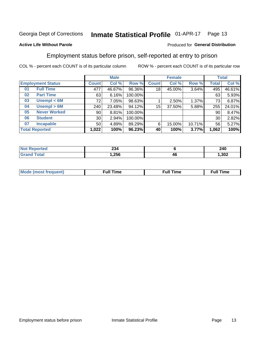#### Inmate Statistical Profile 01-APR-17 Page 13

### **Active Life Without Parole**

#### Produced for General Distribution

## Employment status before prison, self-reported at entry to prison

COL % - percent each COUNT is of its particular column

|                           |                 | <b>Male</b> |         |              | <b>Female</b> |        |              | <b>Total</b> |
|---------------------------|-----------------|-------------|---------|--------------|---------------|--------|--------------|--------------|
| <b>Employment Status</b>  | Count l         | Col %       | Row %   | <b>Count</b> | Col %         | Row %  | <b>Total</b> | Col %        |
| <b>Full Time</b><br>01    | 477             | 46.67%      | 96.36%  | 18           | 45.00%        | 3.64%  | 495          | 46.61%       |
| <b>Part Time</b><br>02    | 63              | 6.16%       | 100.00% |              |               |        | 63           | 5.93%        |
| Unempl $<$ 6M<br>03       | 72              | $7.05\%$    | 98.63%  |              | 2.50%         | 1.37%  | 73           | 6.87%        |
| Unempl > 6M<br>04         | 240             | 23.48%      | 94.12%  | 15           | 37.50%        | 5.88%  | 255          | 24.01%       |
| <b>Never Worked</b><br>05 | 90              | 8.81%       | 100.00% |              |               |        | 90           | 8.47%        |
| <b>Student</b><br>06      | 30 <sub>1</sub> | 2.94%       | 100.00% |              |               |        | 30           | 2.82%        |
| <b>Incapable</b><br>07    | 50 <sub>1</sub> | 4.89%       | 89.29%  | 6            | 15.00%        | 10.71% | 56           | 5.27%        |
| <b>Total Reported</b>     | 1,022           | 100%        | 96.23%  | 40           | 100%          | 3.77%  | 1,062        | 100%         |

| າາເ<br>234<br>$\sim$ $\sim$ |    | 240<br>$\sim$ |
|-----------------------------|----|---------------|
| 1,256                       | 46 | ,302          |

| Mc | ∙u∥<br>----<br>ıme | ίuΙ<br>Πmε |
|----|--------------------|------------|
|    |                    |            |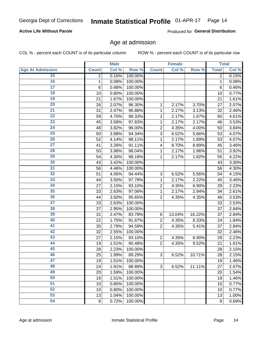### **Active Life Without Parole**

Produced for General Distribution

### Age at admission

COL % - percent each COUNT is of its particular column

|                         |                 | <b>Male</b> |         |                | <b>Female</b> |        |              | <b>Total</b> |
|-------------------------|-----------------|-------------|---------|----------------|---------------|--------|--------------|--------------|
| <b>Age At Admission</b> | <b>Count</b>    | Col %       | Row %   | <b>Count</b>   | Col %         | Row %  | <b>Total</b> | Col %        |
| 15                      | 2               | 0.16%       | 100.00% |                |               |        | 2            | 0.15%        |
| 16                      | 1               | 0.08%       | 100.00% |                |               |        | 1            | 0.08%        |
| $\overline{17}$         | $6\phantom{1}6$ | 0.48%       | 100.00% |                |               |        | 6            | 0.46%        |
| 18                      | 10              | 0.80%       | 100.00% |                |               |        | 10           | 0.77%        |
| 19                      | 21              | 1.67%       | 100.00% |                |               |        | 21           | 1.61%        |
| $\overline{20}$         | 26              | 2.07%       | 96.30%  | 1              | 2.17%         | 3.70%  | 27           | 2.07%        |
| 21                      | 31              | 2.47%       | 96.88%  | 1              | 2.17%         | 3.13%  | 32           | 2.46%        |
| 22                      | 59              | 4.70%       | 98.33%  | 1              | 2.17%         | 1.67%  | 60           | 4.61%        |
| 23                      | 45              | 3.58%       | 97.83%  | 1              | 2.17%         | 2.17%  | 46           | 3.53%        |
| 24                      | 48              | 3.82%       | 96.00%  | $\overline{2}$ | 4.35%         | 4.00%  | 50           | 3.84%        |
| $\overline{25}$         | 50              | 3.98%       | 94.34%  | 3              | 6.52%         | 5.66%  | 53           | 4.07%        |
| 26                      | 52              | 4.14%       | 98.11%  | 1              | 2.17%         | 1.89%  | 53           | 4.07%        |
| $\overline{27}$         | 41              | 3.26%       | 91.11%  | 4              | 8.70%         | 8.89%  | 45           | 3.46%        |
| 28                      | 50              | 3.98%       | 98.04%  | 1              | 2.17%         | 1.96%  | 51           | 3.92%        |
| 29                      | 54              | 4.30%       | 98.18%  | 1              | 2.17%         | 1.82%  | 55           | 4.22%        |
| 30                      | 43              | 3.42%       | 100.00% |                |               |        | 43           | 3.30%        |
| 31                      | 56              | 4.46%       | 100.00% |                |               |        | 56           | 4.30%        |
| 32                      | 51              | 4.06%       | 94.44%  | 3              | 6.52%         | 5.56%  | 54           | 4.15%        |
| 33                      | 44              | 3.50%       | 97.78%  | 1              | 2.17%         | 2.22%  | 45           | 3.46%        |
| 34                      | 27              | 2.15%       | 93.10%  | $\overline{2}$ | 4.35%         | 6.90%  | 29           | 2.23%        |
| 35                      | 33              | 2.63%       | 97.06%  | 1              | 2.17%         | 2.94%  | 34           | 2.61%        |
| 36                      | 44              | 3.50%       | 95.65%  | $\overline{2}$ | 4.35%         | 4.35%  | 46           | 3.53%        |
| $\overline{37}$         | 33              | 2.63%       | 100.00% |                |               |        | 33           | 2.53%        |
| 38                      | 37              | 2.95%       | 100.00% |                |               |        | 37           | 2.84%        |
| 39                      | 31              | 2.47%       | 83.78%  | 6              | 13.04%        | 16.22% | 37           | 2.84%        |
| 40                      | 22              | 1.75%       | 91.67%  | $\overline{2}$ | 4.35%         | 8.33%  | 24           | 1.84%        |
| 41                      | 35              | 2.79%       | 94.59%  | $\overline{2}$ | 4.35%         | 5.41%  | 37           | 2.84%        |
| 42                      | 32              | 2.55%       | 100.00% |                |               |        | 32           | 2.46%        |
| 43                      | 27              | 2.15%       | 93.10%  | $\overline{2}$ | 4.35%         | 6.90%  | 29           | 2.23%        |
| 44                      | 19              | 1.51%       | 90.48%  | $\overline{2}$ | 4.35%         | 9.52%  | 21           | 1.61%        |
| 45                      | 28              | 2.23%       | 100.00% |                |               |        | 28           | 2.15%        |
| 46                      | 25              | 1.99%       | 89.29%  | 3              | 6.52%         | 10.71% | 28           | 2.15%        |
| 47                      | 19              | 1.51%       | 100.00% |                |               |        | 19           | 1.46%        |
| 48                      | 24              | 1.91%       | 88.89%  | 3              | 6.52%         | 11.11% | 27           | 2.07%        |
| 49                      | 20              | 1.59%       | 100.00% |                |               |        | 20           | 1.54%        |
| 50                      | 19              | 1.51%       | 100.00% |                |               |        | 19           | 1.46%        |
| $\overline{51}$         | 10              | 0.80%       | 100.00% |                |               |        | 10           | 0.77%        |
| 52                      | 10              | 0.80%       | 100.00% |                |               |        | 10           | 0.77%        |
| 53                      | 13              | 1.04%       | 100.00% |                |               |        | 13           | 1.00%        |
| 54                      | 9               | 0.72%       | 100.00% |                |               |        | 9            | 0.69%        |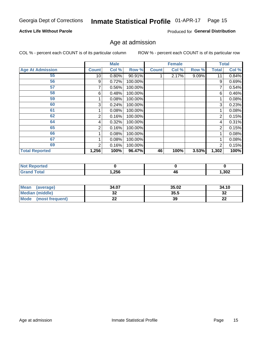### **Active Life Without Parole**

Produced for General Distribution

### Age at admission

COL % - percent each COUNT is of its particular column

|                         |                 | <b>Male</b> |         |              | <b>Female</b> |       |              | <b>Total</b> |
|-------------------------|-----------------|-------------|---------|--------------|---------------|-------|--------------|--------------|
| <b>Age At Admission</b> | <b>Count</b>    | Col %       | Row %   | <b>Count</b> | Col %         | Row % | <b>Total</b> | Col %        |
| 55                      | 10 <sup>1</sup> | 0.80%       | 90.91%  |              | 2.17%         | 9.09% | 11           | 0.84%        |
| 56                      | 9               | 0.72%       | 100.00% |              |               |       | 9            | 0.69%        |
| 57                      |                 | 0.56%       | 100.00% |              |               |       | 7            | 0.54%        |
| 58                      | 6               | 0.48%       | 100.00% |              |               |       | 6            | 0.46%        |
| 59                      |                 | 0.08%       | 100.00% |              |               |       |              | 0.08%        |
| 60                      | 3               | 0.24%       | 100.00% |              |               |       | 3            | 0.23%        |
| 61                      |                 | 0.08%       | 100.00% |              |               |       |              | 0.08%        |
| 62                      | 2               | 0.16%       | 100.00% |              |               |       | 2            | 0.15%        |
| 64                      | 4               | 0.32%       | 100.00% |              |               |       | 4            | 0.31%        |
| 65                      | 2               | 0.16%       | 100.00% |              |               |       | 2            | 0.15%        |
| 66                      |                 | 0.08%       | 100.00% |              |               |       |              | 0.08%        |
| 67                      |                 | 0.08%       | 100.00% |              |               |       |              | 0.08%        |
| 69                      | 2               | 0.16%       | 100.00% |              |               |       | 2            | 0.15%        |
| <b>Total Reported</b>   | 1,256           | 100%        | 96.47%  | 46           | 100%          | 3.53% | 1,302        | 100%         |

| <b>Not Reported</b>          |       |    |       |
|------------------------------|-------|----|-------|
| <b>Total</b><br><b>Grand</b> | 1,256 | 4Ł | 1,302 |

| <b>Mean</b><br>(average) | 34.07 | 35.02 | 34.10    |
|--------------------------|-------|-------|----------|
| Median (middle)          | JZ    | 35.5  | າາ<br>∠د |
| Mode<br>(most frequent)  | --    | 39    | n.<br>LL |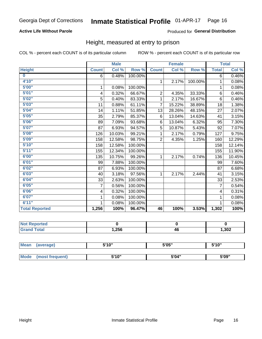### **Active Life Without Parole**

### Produced for General Distribution

### Height, measured at entry to prison

COL % - percent each COUNT is of its particular column

|                       |                | <b>Male</b> |         |                | <b>Female</b> |         |                | <b>Total</b> |
|-----------------------|----------------|-------------|---------|----------------|---------------|---------|----------------|--------------|
| <b>Height</b>         | <b>Count</b>   | Col %       | Row %   | <b>Count</b>   | Col %         | Row %   | <b>Total</b>   | Col %        |
| $\bf{0}$              | 6              | 0.48%       | 100.00% |                |               |         | 6              | 0.46%        |
| 4'10''                |                |             |         | $\mathbf{1}$   | 2.17%         | 100.00% | 1              | 0.08%        |
| 5'00''                | 1              | 0.08%       | 100.00% |                |               |         | 1              | 0.08%        |
| 5'01"                 | 4              | 0.32%       | 66.67%  | $\overline{2}$ | 4.35%         | 33.33%  | 6              | 0.46%        |
| 5'02"                 | 5              | 0.40%       | 83.33%  | 1              | 2.17%         | 16.67%  | $6\phantom{1}$ | 0.46%        |
| 5'03''                | 11             | 0.88%       | 61.11%  | $\overline{7}$ | 15.22%        | 38.89%  | 18             | 1.38%        |
| 5'04"                 | 14             | 1.11%       | 51.85%  | 13             | 28.26%        | 48.15%  | 27             | 2.07%        |
| 5'05"                 | 35             | 2.79%       | 85.37%  | 6              | 13.04%        | 14.63%  | 41             | 3.15%        |
| 5'06''                | 89             | 7.09%       | 93.68%  | 6              | 13.04%        | 6.32%   | 95             | 7.30%        |
| 5'07"                 | 87             | 6.93%       | 94.57%  | 5              | 10.87%        | 5.43%   | 92             | 7.07%        |
| 5'08''                | 126            | 10.03%      | 99.21%  | 1              | 2.17%         | 0.79%   | 127            | 9.75%        |
| 5'09''                | 158            | 12.58%      | 98.75%  | $\overline{2}$ | 4.35%         | 1.25%   | 160            | 12.29%       |
| 5'10''                | 158            | 12.58%      | 100.00% |                |               |         | 158            | 12.14%       |
| 5'11"                 | 155            | 12.34%      | 100.00% |                |               |         | 155            | 11.90%       |
| 6'00''                | 135            | 10.75%      | 99.26%  | 1.             | 2.17%         | 0.74%   | 136            | 10.45%       |
| 6'01''                | 99             | 7.88%       | 100.00% |                |               |         | 99             | 7.60%        |
| 6'02"                 | 87             | 6.93%       | 100.00% |                |               |         | 87             | 6.68%        |
| 6'03''                | 40             | 3.18%       | 97.56%  | $\mathbf{1}$   | 2.17%         | 2.44%   | 41             | 3.15%        |
| 6'04"                 | 33             | 2.63%       | 100.00% |                |               |         | 33             | 2.53%        |
| 6'05"                 | $\overline{7}$ | 0.56%       | 100.00% |                |               |         | $\overline{7}$ | 0.54%        |
| 6'06''                | 4              | 0.32%       | 100.00% |                |               |         | 4              | 0.31%        |
| 6'07''                | 1              | 0.08%       | 100.00% |                |               |         | 1              | 0.08%        |
| 6'11''                | 1              | 0.08%       | 100.00% |                |               |         | 1              | 0.08%        |
| <b>Total Reported</b> | 1,256          | 100%        | 96.47%  | 46             | 100%          | 3.53%   | 1,302          | 100%         |

| <b>Reported</b> |      |    |      |
|-----------------|------|----|------|
| <b>cotal</b>    | 256, | 46 | ,302 |

| <b>Mean</b> | (average)       | 5'10" | 5'05" | 5'10'' |  |
|-------------|-----------------|-------|-------|--------|--|
|             |                 |       |       |        |  |
| <b>Mode</b> | (most frequent) | 5'10" | 5'04" | 5'09"  |  |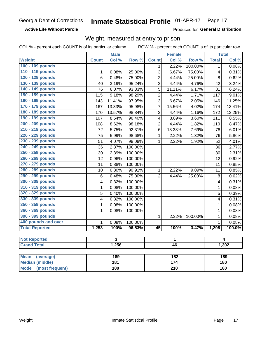**Active Life Without Parole** 

Produced for General Distribution

### Weight, measured at entry to prison

COL % - percent each COUNT is of its particular column

ROW % - percent each COUNT is of its particular row

|                          |                         | <b>Male</b>             |         |                         | <b>Female</b> |         |                | <b>Total</b>   |
|--------------------------|-------------------------|-------------------------|---------|-------------------------|---------------|---------|----------------|----------------|
| Weight                   | <b>Count</b>            | Col %                   | Row %   | <b>Count</b>            | Col %         | Row %   | <b>Total</b>   | Col %          |
| 100 - 109 pounds         |                         |                         |         | 1                       | 2.22%         | 100.00% | 1              | 0.08%          |
| 110 - 119 pounds         | $\mathbf{1}$            | 0.08%                   | 25.00%  | 3                       | 6.67%         | 75.00%  | 4              | 0.31%          |
| 120 - 129 pounds         | 6                       | 0.48%                   | 75.00%  | $\overline{2}$          | 4.44%         | 25.00%  | 8              | 0.62%          |
| 130 - 139 pounds         | 40                      | 3.19%                   | 95.24%  | $\overline{2}$          | 4.44%         | 4.76%   | 42             | 3.24%          |
| 140 - 149 pounds         | 76                      | 6.07%                   | 93.83%  | 5                       | 11.11%        | 6.17%   | 81             | 6.24%          |
| 150 - 159 pounds         | 115                     | 9.18%                   | 98.29%  | $\overline{2}$          | 4.44%         | 1.71%   | 117            | 9.01%          |
| 160 - 169 pounds         | 143                     | 11.41%                  | 97.95%  | 3                       | 6.67%         | 2.05%   | 146            | 11.25%         |
| 170 - 179 pounds         | 167                     | 13.33%                  | 95.98%  | $\overline{7}$          | 15.56%        | 4.02%   | 174            | 13.41%         |
| 180 - 189 pounds         | 170                     | 13.57%                  | 98.84%  | $\overline{2}$          | 4.44%         | 1.16%   | 172            | 13.25%         |
| 190 - 199 pounds         | 107                     | 8.54%                   | 96.40%  | $\overline{\mathbf{4}}$ | 8.89%         | 3.60%   | 111            | 8.55%          |
| 200 - 209 pounds         | 108                     | 8.62%                   | 98.18%  | $\overline{2}$          | 4.44%         | 1.82%   | 110            | 8.47%          |
| 210 - 219 pounds         | 72                      | 5.75%                   | 92.31%  | 6                       | 13.33%        | 7.69%   | 78             | 6.01%          |
| 220 - 229 pounds         | 75                      | 5.99%                   | 98.68%  | $\mathbf{1}$            | 2.22%         | 1.32%   | 76             | 5.86%          |
| 230 - 239 pounds         | 51                      | 4.07%                   | 98.08%  | $\mathbf{1}$            | 2.22%         | 1.92%   | 52             | 4.01%          |
| 240 - 249 pounds         | 36                      | 2.87%                   | 100.00% |                         |               |         | 36             | 2.77%          |
| 250 - 259 pounds         | 30                      | 2.39%                   | 100.00% |                         |               |         | 30             | 2.31%          |
| 260 - 269 pounds         | 12                      | 0.96%                   | 100.00% |                         |               |         | 12             | 0.92%          |
| 270 - 279 pounds         | 11                      | 0.88%                   | 100.00% |                         |               |         | 11             | 0.85%          |
| 280 - 289 pounds         | 10                      | 0.80%                   | 90.91%  | 1                       | 2.22%         | 9.09%   | 11             | 0.85%          |
| 290 - 299 pounds         | $6\phantom{1}6$         | 0.48%                   | 75.00%  | $\overline{2}$          | 4.44%         | 25.00%  | 8              | 0.62%          |
| 300 - 309 pounds         | $\overline{\mathbf{4}}$ | 0.32%                   | 100.00% |                         |               |         | 4              | 0.31%          |
| 310 - 319 pounds         | 1                       | 0.08%                   | 100.00% |                         |               |         | $\mathbf{1}$   | 0.08%          |
| 320 - 329 pounds         | 5                       | 0.40%                   | 100.00% |                         |               |         | 5              | 0.39%          |
| 330 - 339 pounds         | $\overline{\mathbf{4}}$ | 0.32%                   | 100.00% |                         |               |         | 4              | 0.31%          |
| 350 - 359 pounds         | 1                       | 0.08%                   | 100.00% |                         |               |         | $\mathbf{1}$   | 0.08%          |
| 360 - 369 pounds         | 1                       | 0.08%                   | 100.00% |                         |               |         | $\mathbf 1$    | 0.08%          |
| 390 - 399 pounds         |                         |                         |         | $\mathbf{1}$            | 2.22%         | 100.00% | $\mathbf 1$    | 0.08%          |
| 400 pounds and over      | $\mathbf{1}$            | 0.08%                   | 100.00% |                         |               |         | $\overline{1}$ | 0.08%          |
| <b>Total Reported</b>    | 1,253                   | 100%                    | 96.53%  | $\overline{45}$         | 100%          | 3.47%   | 1,298          | 100.0%         |
|                          |                         |                         |         |                         |               |         |                |                |
| <b>Not Reported</b>      |                         | $\overline{\mathbf{3}}$ |         | 1                       |               |         |                | $\overline{4}$ |
| <b>Grand Total</b>       |                         | 1,256                   |         | 46                      |               |         |                | 1,302          |
|                          |                         |                         |         |                         |               |         |                |                |
| <b>Mean</b><br>(average) |                         | 189                     |         |                         | 182           |         |                | <b>189</b>     |
| <b>Median (middle)</b>   | 181                     |                         |         | 174                     |               | 180     |                |                |

**Mode** 

(most frequent)

 $\overline{210}$ 

 $\overline{180}$ 

 $180$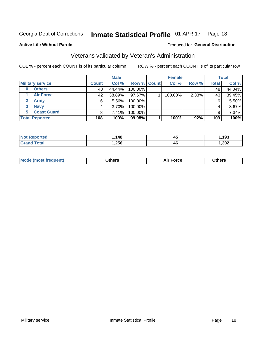#### Inmate Statistical Profile 01-APR-17 Page 18

**Active Life Without Parole** 

#### Produced for General Distribution

## Veterans validated by Veteran's Administration

COL % - percent each COUNT is of its particular column

|    |                         |              | <b>Male</b> |                    | <b>Female</b> |       |              | <b>Total</b> |
|----|-------------------------|--------------|-------------|--------------------|---------------|-------|--------------|--------------|
|    | <b>Military service</b> | <b>Count</b> | Col %       | <b>Row % Count</b> | Col %         | Row % | <b>Total</b> | Col %        |
| 0  | <b>Others</b>           | 48           | 44.44%      | 100.00%            |               |       | 48           | 44.04%       |
|    | <b>Air Force</b>        | 42           | 38.89%      | 97.67%             | 100.00%       | 2.33% | 43           | 39.45%       |
|    | Army                    | 6            | $5.56\%$    | 100.00%            |               |       | 6            | 5.50%        |
| 3  | <b>Navy</b>             | 4            | $3.70\%$    | 100.00%            |               |       | 4            | 3.67%        |
| 5. | <b>Coast Guard</b>      | 8            | 7.41%       | 100.00%            |               |       |              | 7.34%        |
|    | <b>Total Reported</b>   | 108          | 100%        | 99.08%             | 100%          | .92%  | 109          | 100%         |

| rtea :       | 119<br>40 | 45           | 193  |
|--------------|-----------|--------------|------|
| <b>Total</b> | ,256      | 46<br>$\sim$ | ,302 |

| Mo<br>m | ∖‡h∧rc<br>_____ | $-0.002$<br>28 F T<br>UI CE | <b>Others</b><br>____ |
|---------|-----------------|-----------------------------|-----------------------|
|         |                 |                             |                       |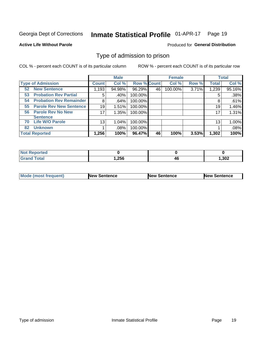#### Inmate Statistical Profile 01-APR-17 Page 19

#### **Active Life Without Parole**

#### Produced for General Distribution

### Type of admission to prison

COL % - percent each COUNT is of its particular column

|                                      |              | <b>Male</b> |                    |    | <b>Female</b> |       |              | <b>Total</b> |
|--------------------------------------|--------------|-------------|--------------------|----|---------------|-------|--------------|--------------|
| <b>Type of Admission</b>             | <b>Count</b> | Col %       | <b>Row % Count</b> |    | Col %         | Row % | <b>Total</b> | Col %        |
| <b>New Sentence</b><br>52            | 1,193        | 94.98%      | 96.29%             | 46 | 100.00%       | 3.71% | 1,239        | 95.16%       |
| <b>Probation Rev Partial</b><br>53   | 5            | .40%        | 100.00%            |    |               |       | 5            | .38%         |
| <b>Probation Rev Remainder</b><br>54 | 8            | .64%        | 100.00%            |    |               |       | 8            | .61%         |
| <b>Parole Rev New Sentence</b><br>55 | 19           | 1.51%       | 100.00%            |    |               |       | 19           | 1.46%        |
| <b>Parole Rev No New</b><br>56       | 17           | 1.35%       | 100.00%            |    |               |       | 17           | 1.31%        |
| <b>Sentence</b>                      |              |             |                    |    |               |       |              |              |
| <b>Life W/O Parole</b><br>70         | 13           | 1.04%       | 100.00%            |    |               |       | 13           | 1.00%        |
| <b>Unknown</b><br>82                 |              | .08%        | 100.00%            |    |               |       |              | .08%         |
| <b>Total Reported</b>                | 1,256        | 100%        | 96.47%             | 46 | 100%          | 3.53% | 1,302        | 100%         |

| <b>Not Reported</b>    |       |    |      |
|------------------------|-------|----|------|
| <b>Total</b><br>"Granu | 1,256 | Tu | 302, |

| Mode (most frequent) | <b>New Sentence</b> | <b>New Sentence</b> | <b>New Sentence</b> |
|----------------------|---------------------|---------------------|---------------------|
|                      |                     |                     |                     |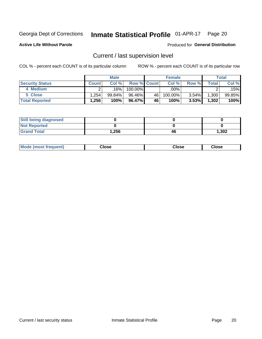## Inmate Statistical Profile 01-APR-17 Page 20

**Active Life Without Parole** 

#### Produced for General Distribution

## Current / last supervision level

COL % - percent each COUNT is of its particular column

|                        |                   | <b>Male</b> |                    |    | <b>Female</b> |       |       | Total  |
|------------------------|-------------------|-------------|--------------------|----|---------------|-------|-------|--------|
| <b>Security Status</b> | <b>Count</b>      | Col%        | <b>Row % Count</b> |    | Col %         | Row % | Total | Col %  |
| 4 Medium               |                   | 16%         | 100.00%            |    | .00% '        |       |       | .15%   |
| 5 Close                | .254              | $99.84\%$   | 96.46%             | 46 | 100.00%       | 3.54% | 1,300 | 99.85% |
| <b>Total Reported</b>  | $.256$ $^{\circ}$ | 100%        | 96.47%             | 46 | 100%          | 3.53% | 1,302 | 100%   |

| <b>Still being diagnosed</b> |        |    |       |
|------------------------------|--------|----|-------|
| <b>Not Reported</b>          |        |    |       |
| <b>Grand Total</b>           | 256. ا | 46 | 1,302 |

| <b>AhoM</b><br>rreauent) | <b>Close</b> | Close | Close |
|--------------------------|--------------|-------|-------|
|                          |              |       |       |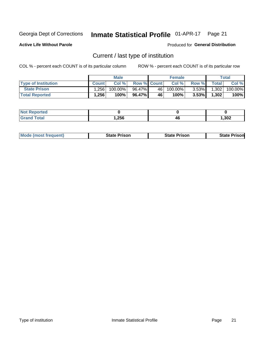#### Inmate Statistical Profile 01-APR-17 Page 21

**Active Life Without Parole** 

Produced for General Distribution

## Current / last type of institution

COL % - percent each COUNT is of its particular column

|                            |                   | <b>Male</b> |                    |    | <b>Female</b> |          |              | Total   |
|----------------------------|-------------------|-------------|--------------------|----|---------------|----------|--------------|---------|
| <b>Type of Institution</b> | <b>Count</b>      | Col %       | <b>Row % Count</b> |    | Col %         | Row %    | <b>Total</b> | Col %   |
| <b>State Prison</b>        | .256 <sub>1</sub> | 100.00%     | 96.47%             | 46 | $100.00\%$    | $3.53\%$ | 1,302        | 100.00% |
| <b>Total Reported</b>      | 1,256             | 100%        | 96.47% I           | 46 | 100%          | $3.53\%$ | 1,302        | 100%    |

| ueo<br>$\sim$ |      |    |      |
|---------------|------|----|------|
|               | ,256 | 46 | ,302 |

|  | <b>Mode (most frequent)</b> | State Prison | <b>State Prison</b> | <b>State Prison</b> |
|--|-----------------------------|--------------|---------------------|---------------------|
|--|-----------------------------|--------------|---------------------|---------------------|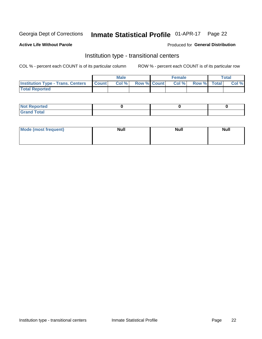#### Inmate Statistical Profile 01-APR-17 Page 22

### **Active Life Without Parole**

#### Produced for General Distribution

## Institution type - transitional centers

COL % - percent each COUNT is of its particular column

|                                                | Male  |                    | <b>Female</b> |                   | Total |
|------------------------------------------------|-------|--------------------|---------------|-------------------|-------|
| <b>Institution Type - Trans. Centers Count</b> | Col % | <b>Row % Count</b> |               | Col % Row % Total | Col % |
| <b>Total Reported</b>                          |       |                    |               |                   |       |

| <b>Reported</b><br><b>NOT</b><br>$\sim$            |  |  |
|----------------------------------------------------|--|--|
| $f$ $f \circ f \circ f$<br>$C = 1$<br><b>TULAI</b> |  |  |

| Mode (most frequent) | <b>Null</b> | <b>Null</b> | <b>Null</b> |
|----------------------|-------------|-------------|-------------|
|                      |             |             |             |
|                      |             |             |             |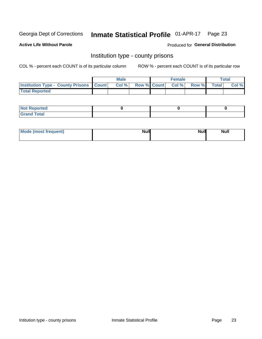## Inmate Statistical Profile 01-APR-17 Page 23

**Active Life Without Parole** 

Produced for General Distribution

### Institution type - county prisons

COL % - percent each COUNT is of its particular column

|                                                    | <b>Male</b> |       |  | <b>Female</b> |                          |             | <b>Total</b> |       |
|----------------------------------------------------|-------------|-------|--|---------------|--------------------------|-------------|--------------|-------|
| <b>Institution Type - County Prisons   Count  </b> |             | Col % |  |               | <b>Row % Count Col %</b> | Row % Total |              | Col % |
| <b>Total Reported</b>                              |             |       |  |               |                          |             |              |       |

| <b>Not</b><br>: Reported<br> |  |  |
|------------------------------|--|--|
| <b>Total</b><br>---          |  |  |

| Mode (most frequent) | <b>Null</b> | <b>Null</b><br><b>Null</b> |
|----------------------|-------------|----------------------------|
|                      |             |                            |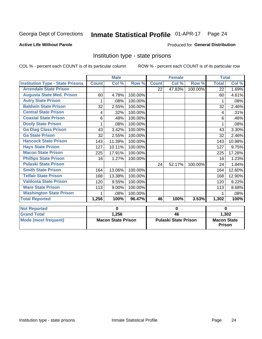#### Inmate Statistical Profile 01-APR-17 Page 24

### **Active Life Without Parole**

#### Produced for General Distribution

## Institution type - state prisons

COL % - percent each COUNT is of its particular column

|                                         | <b>Male</b>               |        |                             |              | <b>Female</b> |                                     | <b>Total</b> |        |
|-----------------------------------------|---------------------------|--------|-----------------------------|--------------|---------------|-------------------------------------|--------------|--------|
| <b>Institution Type - State Prisons</b> | <b>Count</b>              | Col %  | Row %                       | <b>Count</b> | Col %         | Row %                               | <b>Total</b> | Col %  |
| <b>Arrendale State Prison</b>           |                           |        |                             | 22           | 47.83%        | 100.00%                             | 22           | 1.69%  |
| <b>Augusta State Med. Prison</b>        | 60                        | 4.78%  | 100.00%                     |              |               |                                     | 60           | 4.61%  |
| <b>Autry State Prison</b>               | 1                         | .08%   | 100.00%                     |              |               |                                     | 1            | .08%   |
| <b>Baldwin State Prison</b>             | 32                        | 2.55%  | 100.00%                     |              |               |                                     | 32           | 2.46%  |
| <b>Central State Prison</b>             | 4                         | .32%   | 100.00%                     |              |               |                                     | 4            | .31%   |
| <b>Coastal State Prison</b>             | 6                         | .48%   | 100.00%                     |              |               |                                     | 6            | .46%   |
| <b>Dooly State Prison</b>               |                           | .08%   | 100.00%                     |              |               |                                     |              | .08%   |
| <b>Ga Diag Class Prison</b>             | 43                        | 3.42%  | 100.00%                     |              |               |                                     | 43           | 3.30%  |
| <b>Ga State Prison</b>                  | 32                        | 2.55%  | 100.00%                     |              |               |                                     | 32           | 2.46%  |
| <b>Hancock State Prison</b>             | 143                       | 11.39% | 100.00%                     |              |               |                                     | 143          | 10.98% |
| <b>Hays State Prison</b>                | 127                       | 10.11% | 100.00%                     |              |               |                                     | 127          | 9.75%  |
| <b>Macon State Prison</b>               | 225                       | 17.91% | 100.00%                     |              |               |                                     | 225          | 17.28% |
| <b>Phillips State Prison</b>            | 16                        | 1.27%  | 100.00%                     |              |               |                                     | 16           | 1.23%  |
| <b>Pulaski State Prison</b>             |                           |        |                             | 24           | 52.17%        | 100.00%                             | 24           | 1.84%  |
| <b>Smith State Prison</b>               | 164                       | 13.06% | 100.00%                     |              |               |                                     | 164          | 12.60% |
| <b>Telfair State Prison</b>             | 168                       | 13.38% | 100.00%                     |              |               |                                     | 168          | 12.90% |
| <b>Valdosta State Prison</b>            | 120                       | 9.55%  | 100.00%                     |              |               |                                     | 120          | 9.22%  |
| <b>Ware State Prison</b>                | 113                       | 9.00%  | 100.00%                     |              |               |                                     | 113          | 8.68%  |
| <b>Washington State Prison</b>          | 1                         | .08%   | 100.00%                     |              |               |                                     | 1            | .08%   |
| <b>Total Reported</b>                   | 1,256                     | 100%   | 96.47%                      | 46           | 100%          | 3.53%                               | 1,302        | 100%   |
| <b>Not Reported</b>                     | 0                         |        | $\bf{0}$                    |              |               | $\bf{0}$                            |              |        |
| <b>Grand Total</b>                      |                           | 1,256  |                             | 46           |               |                                     | 1,302        |        |
| <b>Mode (most frequent)</b>             | <b>Macon State Prison</b> |        | <b>Pulaski State Prison</b> |              |               | <b>Macon State</b><br><b>Prison</b> |              |        |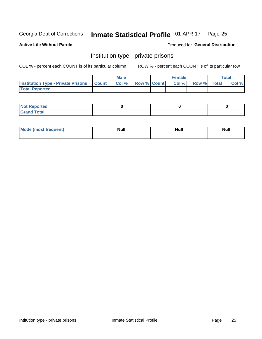## Inmate Statistical Profile 01-APR-17 Page 25

**Active Life Without Parole** 

Produced for General Distribution

## Institution type - private prisons

COL % - percent each COUNT is of its particular column

|                                                 | <b>Male</b> |      |                    | <b>Female</b> |       |             | Total |       |
|-------------------------------------------------|-------------|------|--------------------|---------------|-------|-------------|-------|-------|
| <b>Institution Type - Private Prisons Count</b> |             | Col% | <b>Row % Count</b> |               | Col % | Row % Total |       | Col % |
| <b>Total Reported</b>                           |             |      |                    |               |       |             |       |       |

| Not Reported          |  |  |
|-----------------------|--|--|
| <b>Cotal</b><br>_____ |  |  |

| <b>Mo</b><br>frequent) | <b>Null</b> | <b>Null</b> | . . I *<br><b>IVUII</b> |
|------------------------|-------------|-------------|-------------------------|
|                        |             |             |                         |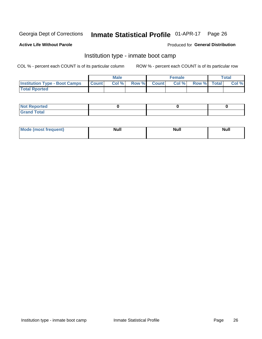#### Inmate Statistical Profile 01-APR-17 Page 26

#### **Active Life Without Parole**

### Produced for General Distribution

## Institution type - inmate boot camp

COL % - percent each COUNT is of its particular column

|                                      | <b>Male</b>  |       |               |              | <b>Female</b> | <b>Total</b> |  |       |
|--------------------------------------|--------------|-------|---------------|--------------|---------------|--------------|--|-------|
| <b>Institution Type - Boot Camps</b> | <b>Count</b> | Col % | <b>Row %I</b> | <b>Count</b> | Col %         | Row % Total  |  | Col % |
| <b>Total Rported</b>                 |              |       |               |              |               |              |  |       |

| <b>Not Reported</b>            |  |  |
|--------------------------------|--|--|
| <b>Total</b><br>C <sub>r</sub> |  |  |

| Mod<br>uamo | Nul.<br>$- - - - - -$ | <b>Null</b> | <br>uu.<br>------ |
|-------------|-----------------------|-------------|-------------------|
|             |                       |             |                   |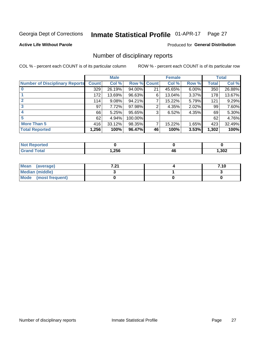#### Inmate Statistical Profile 01-APR-17 Page 27

**Active Life Without Parole** 

### **Produced for General Distribution**

### Number of disciplinary reports

COL % - percent each COUNT is of its particular column

|                                       | <b>Male</b>  |        |         | <b>Female</b> |        |       | <b>Total</b> |        |
|---------------------------------------|--------------|--------|---------|---------------|--------|-------|--------------|--------|
| <b>Number of Disciplinary Reports</b> | <b>Count</b> | Col %  | Row %   | <b>Count</b>  | Col %  | Row % | Total        | Col %  |
|                                       | 329          | 26.19% | 94.00%  | 21            | 45.65% | 6.00% | 350          | 26.88% |
|                                       | 172          | 13.69% | 96.63%  | 6             | 13.04% | 3.37% | 178          | 13.67% |
| 2                                     | 114          | 9.08%  | 94.21%  | 7             | 15.22% | 5.79% | 121          | 9.29%  |
| 3                                     | 97           | 7.72%  | 97.98%  | 2             | 4.35%  | 2.02% | 99           | 7.60%  |
|                                       | 66           | 5.25%  | 95.65%  | 3             | 6.52%  | 4.35% | 69           | 5.30%  |
| 5                                     | 62           | 4.94%  | 100.00% |               |        |       | 62           | 4.76%  |
| <b>More Than 5</b>                    | 416          | 33.12% | 98.35%  | 7             | 15.22% | 1.65% | 423          | 32.49% |
| <b>Total Reported</b>                 | 1,256        | 100%   | 96.47%  | 46            | 100%   | 3.53% | 1,302        | 100%   |

| NO<br>тес |      |    |      |
|-----------|------|----|------|
| Гоtal     | ,256 | 40 | ,302 |

| Mean (average)         | <b>7.94</b><br>$-L$ | 7.10 |
|------------------------|---------------------|------|
| <b>Median (middle)</b> |                     |      |
| Mode (most frequent)   |                     |      |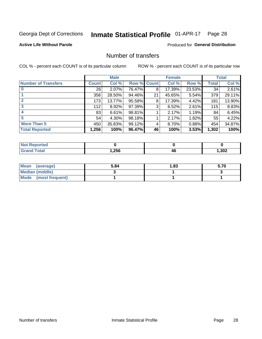## Inmate Statistical Profile 01-APR-17 Page 28

### **Active Life Without Parole**

### **Produced for General Distribution**

## Number of transfers

COL % - percent each COUNT is of its particular column

|                            |              | <b>Male</b> |             |    | <b>Female</b> |          |       | <b>Total</b> |
|----------------------------|--------------|-------------|-------------|----|---------------|----------|-------|--------------|
| <b>Number of Transfers</b> | <b>Count</b> | Col %       | Row % Count |    | Col %         | Row %    | Total | Col %        |
|                            | 26           | $2.07\%$    | 76.47%      | 8  | 17.39%        | 23.53%   | 34    | 2.61%        |
|                            | 358          | 28.50%      | 94.46%      | 21 | 45.65%        | 5.54%    | 379   | 29.11%       |
| 2                          | 173          | 13.77%      | 95.58%      | 8  | 17.39%        | 4.42%    | 181   | 13.90%       |
| 3                          | 112          | $8.92\%$    | 97.39%      | 3  | 6.52%         | $2.61\%$ | 115   | 8.83%        |
|                            | 83           | 6.61%       | 98.81%      |    | 2.17%         | 1.19%    | 84    | 6.45%        |
| 5                          | 54           | $4.30\%$    | 98.18%      |    | 2.17%         | 1.82%    | 55    | 4.22%        |
| <b>More Than 5</b>         | 450          | 35.83%      | 99.12%      | 4  | 8.70%         | 0.88%    | 454   | 34.87%       |
| <b>Total Reported</b>      | 1,256        | 100%        | 96.47%      | 46 | 100%          | 3.53%    | 1,302 | 100%         |

| NO<br>тес |      |    |      |
|-----------|------|----|------|
| Гоtal     | ,256 | 40 | ,302 |

| Mean (average)         | 5.84 | l.83 | 5.70 |
|------------------------|------|------|------|
| <b>Median (middle)</b> |      |      |      |
| Mode (most frequent)   |      |      |      |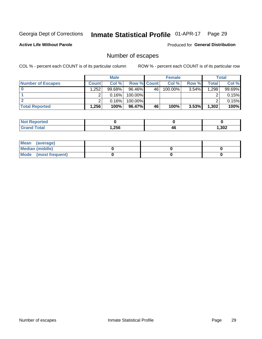## Inmate Statistical Profile 01-APR-17 Page 29

**Active Life Without Parole** 

Produced for General Distribution

## Number of escapes

COL % - percent each COUNT is of its particular column

|                          | <b>Male</b>  |           |                    | <b>Female</b> |            |       | Total |        |
|--------------------------|--------------|-----------|--------------------|---------------|------------|-------|-------|--------|
| <b>Number of Escapes</b> | <b>Count</b> | Col %     | <b>Row % Count</b> |               | Col %      | Row % | Total | Col %  |
|                          | .252         | $99.68\%$ | $96.46\%$          | 46            | $100.00\%$ | 3.54% | 1,298 | 99.69% |
|                          |              | 0.16%     | 100.00%            |               |            |       |       | 0.15%  |
|                          |              | 0.16%     | 100.00%            |               |            |       |       | 0.15%  |
| <b>Total Reported</b>    | .256         | 100%      | $96.47\%$          | 46            | 100%       | 3.53% | 1,302 | 100%   |

| <b>rted</b><br><b>NOT</b> |      |    |      |
|---------------------------|------|----|------|
| 'otal<br>Grand            | ,256 | 46 | ,302 |

| Mean (average)       |  |  |
|----------------------|--|--|
| Median (middle)      |  |  |
| Mode (most frequent) |  |  |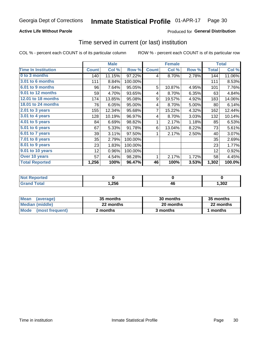### **Active Life Without Parole**

### Produced for General Distribution

### Time served in current (or last) institution

COL % - percent each COUNT is of its particular column

|                            |              | <b>Male</b> |         |              | <b>Female</b> |       | <b>Total</b> |        |
|----------------------------|--------------|-------------|---------|--------------|---------------|-------|--------------|--------|
| <b>Time In Institution</b> | <b>Count</b> | Col %       | Row %   | <b>Count</b> | Col %         | Row % | <b>Total</b> | Col %  |
| 0 to 3 months              | 140          | 11.15%      | 97.22%  | 4            | 8.70%         | 2.78% | 144          | 11.06% |
| <b>3.01 to 6 months</b>    | 111          | 8.84%       | 100.00% |              |               |       | 111          | 8.53%  |
| 6.01 to 9 months           | 96           | 7.64%       | 95.05%  | 5            | 10.87%        | 4.95% | 101          | 7.76%  |
| 9.01 to 12 months          | 59           | 4.70%       | 93.65%  | 4            | 8.70%         | 6.35% | 63           | 4.84%  |
| 12.01 to 18 months         | 174          | 13.85%      | 95.08%  | 9            | 19.57%        | 4.92% | 183          | 14.06% |
| <b>18.01 to 24 months</b>  | 76           | 6.05%       | 95.00%  | 4            | 8.70%         | 5.00% | 80           | 6.14%  |
| $2.01$ to 3 years          | 155          | 12.34%      | 95.68%  | 7            | 15.22%        | 4.32% | 162          | 12.44% |
| 3.01 to 4 years            | 128          | 10.19%      | 96.97%  | 4            | 8.70%         | 3.03% | 132          | 10.14% |
| 4.01 to 5 years            | 84           | 6.69%       | 98.82%  | 1            | 2.17%         | 1.18% | 85           | 6.53%  |
| 5.01 to 6 years            | 67           | 5.33%       | 91.78%  | 6            | 13.04%        | 8.22% | 73           | 5.61%  |
| 6.01 to 7 years            | 39           | 3.11%       | 97.50%  | 1            | 2.17%         | 2.50% | 40           | 3.07%  |
| 7.01 to 8 years            | 35           | 2.79%       | 100.00% |              |               |       | 35           | 2.69%  |
| 8.01 to 9 years            | 23           | 1.83%       | 100.00% |              |               |       | 23           | 1.77%  |
| 9.01 to 10 years           | 12           | 0.96%       | 100.00% |              |               |       | 12           | 0.92%  |
| Over 10 years              | 57           | 4.54%       | 98.28%  | 1            | 2.17%         | 1.72% | 58           | 4.45%  |
| <b>Total Reported</b>      | 1,256        | 100%        | 96.47%  | 46           | 100%          | 3.53% | 1,302        | 100.0% |

| <b>Not Reported</b> |       |    |      |
|---------------------|-------|----|------|
| $T \cap f \circ f$  | 256,، | 46 | ,302 |

| <b>Mean</b><br>(average) | 35 months | 30 months | 35 months |  |  |
|--------------------------|-----------|-----------|-----------|--|--|
| Median (middle)          | 22 months | 20 months | 22 months |  |  |
| Mode (most frequent)     | 2 months  | 3 months  | months    |  |  |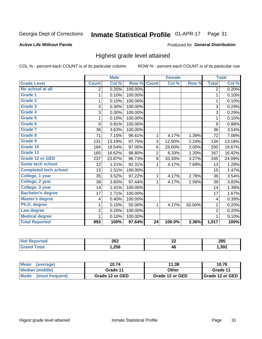#### Inmate Statistical Profile 01-APR-17 Page 31

### **Active Life Without Parole**

#### Produced for General Distribution

### Highest grade level attained

COL % - percent each COUNT is of its particular column

|                              |                | <b>Male</b> |         |              | <b>Female</b> |        |                | <b>Total</b> |
|------------------------------|----------------|-------------|---------|--------------|---------------|--------|----------------|--------------|
| <b>Grade Level</b>           | <b>Count</b>   | Col %       | Row %   | <b>Count</b> | Col %         | Row %  | <b>Total</b>   | Col %        |
| No school at all             | $\overline{2}$ | 0.20%       | 100.00% |              |               |        | $\overline{2}$ | 0.20%        |
| Grade 1                      | 1              | 0.10%       | 100.00% |              |               |        | 1              | 0.10%        |
| Grade 2                      | 1              | 0.10%       | 100.00% |              |               |        | $\mathbf 1$    | 0.10%        |
| Grade 3                      | 3              | 0.30%       | 100.00% |              |               |        | 3              | 0.29%        |
| Grade 4                      | 3              | 0.30%       | 100.00% |              |               |        | 3              | 0.29%        |
| Grade 5                      | 1              | 0.10%       | 100.00% |              |               |        | $\mathbf{1}$   | 0.10%        |
| Grade 6                      | 9              | 0.91%       | 100.00% |              |               |        | 9              | 0.88%        |
| <b>Grade 7</b>               | 36             | 3.63%       | 100.00% |              |               |        | 36             | 3.54%        |
| Grade 8                      | 71             | 7.15%       | 98.61%  | 1            | 4.17%         | 1.39%  | 72             | 7.08%        |
| Grade 9                      | 131            | 13.19%      | 97.76%  | 3            | 12.50%        | 2.24%  | 134            | 13.18%       |
| Grade 10                     | 194            | 19.54%      | 97.00%  | 6            | 25.00%        | 3.00%  | 200            | 19.67%       |
| Grade 11                     | 165            | 16.62%      | 98.80%  | 2            | 8.33%         | 1.20%  | 167            | 16.42%       |
| <b>Grade 12 or GED</b>       | 237            | 23.87%      | 96.73%  | 8            | 33.33%        | 3.27%  | 245            | 24.09%       |
| Some tech school             | 12             | 1.21%       | 92.31%  | 1            | 4.17%         | 7.69%  | 13             | 1.28%        |
| <b>Completed tech school</b> | 15             | 1.51%       | 100.00% |              |               |        | 15             | 1.47%        |
| College, 1 year              | 35             | 3.52%       | 97.22%  | 1            | 4.17%         | 2.78%  | 36             | 3.54%        |
| College, 2 year              | 38             | 3.83%       | 97.44%  | 1            | 4.17%         | 2.56%  | 39             | 3.83%        |
| College, 3 year              | 14             | 1.41%       | 100.00% |              |               |        | 14             | 1.38%        |
| <b>Bachelor's degree</b>     | 17             | 1.71%       | 100.00% |              |               |        | 17             | 1.67%        |
| <b>Master's degree</b>       | 4              | 0.40%       | 100.00% |              |               |        | $\overline{4}$ | 0.39%        |
| Ph.D. degree                 | 1              | 0.10%       | 50.00%  | 1            | 4.17%         | 50.00% | $\overline{2}$ | 0.20%        |
| Law degree                   | $\overline{2}$ | 0.20%       | 100.00% |              |               |        | $\overline{2}$ | 0.20%        |
| <b>Medical degree</b>        |                | 0.10%       | 100.00% |              |               |        | 1              | 0.10%        |
| <b>Total Reported</b>        | 993            | 100%        | 97.64%  | 24           | 100.0%        | 2.36%  | 1,017          | 100%         |

| ue o | 263  | ne.<br>-- | 285  |
|------|------|-----------|------|
|      | ,256 | Λſ<br>47  | ,302 |

| <b>Mean</b><br>(average) | 10.74           | 11.38           | 10.76             |
|--------------------------|-----------------|-----------------|-------------------|
| <b>Median (middle)</b>   | Grade 11        | Other           | Grade 11          |
| Mode<br>(most frequent)  | Grade 12 or GED | Grade 12 or GED | I Grade 12 or GED |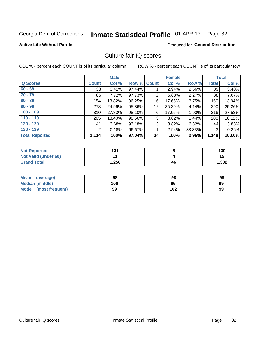#### Inmate Statistical Profile 01-APR-17 Page 32

#### **Active Life Without Parole**

### **Produced for General Distribution**

## Culture fair IQ scores

COL % - percent each COUNT is of its particular column

|                       | <b>Male</b>  |        | <b>Female</b>      |    |        | <b>Total</b> |              |        |
|-----------------------|--------------|--------|--------------------|----|--------|--------------|--------------|--------|
| <b>IQ Scores</b>      | <b>Count</b> | Col %  | <b>Row % Count</b> |    | Col %  | Row %        | <b>Total</b> | Col %  |
| $60 - 69$             | 38           | 3.41%  | 97.44%             |    | 2.94%  | 2.56%        | 39           | 3.40%  |
| $70 - 79$             | 86           | 7.72%  | 97.73%             | 2  | 5.88%  | 2.27%        | 88           | 7.67%  |
| $80 - 89$             | 154          | 13.82% | 96.25%             | 6  | 17.65% | 3.75%        | 160          | 13.94% |
| $90 - 99$             | 278          | 24.96% | 95.86%             | 12 | 35.29% | 4.14%        | 290          | 25.26% |
| $100 - 109$           | 310          | 27.83% | 98.10%             | 6  | 17.65% | 1.90%        | 316          | 27.53% |
| $110 - 119$           | 205          | 18.40% | 98.56%             | 3  | 8.82%  | 1.44%        | 208          | 18.12% |
| $120 - 129$           | 41           | 3.68%  | 93.18%             | 3  | 8.82%  | 6.82%        | 44           | 3.83%  |
| $130 - 139$           | 2            | 0.18%  | 66.67%             | 1  | 2.94%  | 33.33%       | 3            | 0.26%  |
| <b>Total Reported</b> | 1,114        | 100%   | 97.04%             | 34 | 100%   | 2.96%        | 1,148        | 100.0% |

| <b>Not Reported</b>  | 121<br>ا ت |    | 139   |
|----------------------|------------|----|-------|
| Not Valid (under 60) |            |    | 15    |
| <b>Grand Total</b>   | 256. ا     | 46 | 1,302 |

| <b>Mean</b><br>(average) | 98  | 98  | 98 |
|--------------------------|-----|-----|----|
| Median (middle)          | 100 | 96  | 99 |
| Mode (most frequent)     | 99  | 102 | 99 |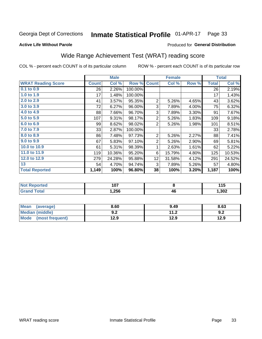#### Inmate Statistical Profile 01-APR-17 Page 33

#### **Active Life Without Parole**

### Produced for General Distribution

## Wide Range Achievement Test (WRAT) reading score

COL % - percent each COUNT is of its particular column

|                           |              | <b>Male</b> |         |                 | <b>Female</b> | <b>Total</b> |              |        |
|---------------------------|--------------|-------------|---------|-----------------|---------------|--------------|--------------|--------|
| <b>WRAT Reading Score</b> | <b>Count</b> | Col %       | Row %   | <b>Count</b>    | Col %         | Row %        | <b>Total</b> | Col %  |
| $0.1$ to $0.9$            | 26           | 2.26%       | 100.00% |                 |               |              | 26           | 2.19%  |
| 1.0 to 1.9                | 17           | 1.48%       | 100.00% |                 |               |              | 17           | 1.43%  |
| 2.0 to 2.9                | 41           | 3.57%       | 95.35%  | $\overline{2}$  | 5.26%         | 4.65%        | 43           | 3.62%  |
| 3.0 to 3.9                | 72           | 6.27%       | 96.00%  | 3               | 7.89%         | 4.00%        | 75           | 6.32%  |
| 4.0 to 4.9                | 88           | 7.66%       | 96.70%  | 3               | 7.89%         | 3.30%        | 91           | 7.67%  |
| 5.0 to 5.9                | 107          | 9.31%       | 98.17%  | $\overline{2}$  | 5.26%         | 1.83%        | 109          | 9.18%  |
| 6.0 to 6.9                | 99           | 8.62%       | 98.02%  | $\overline{2}$  | 5.26%         | 1.98%        | 101          | 8.51%  |
| 7.0 to 7.9                | 33           | 2.87%       | 100.00% |                 |               |              | 33           | 2.78%  |
| 8.0 to 8.9                | 86           | 7.48%       | 97.73%  | $\overline{2}$  | 5.26%         | 2.27%        | 88           | 7.41%  |
| 9.0 to 9.9                | 67           | 5.83%       | 97.10%  | $\overline{2}$  | 5.26%         | 2.90%        | 69           | 5.81%  |
| 10.0 to 10.9              | 61           | 5.31%       | 98.39%  | 1               | 2.63%         | 1.61%        | 62           | 5.22%  |
| 11.0 to 11.9              | 119          | 10.36%      | 95.20%  | 6               | 15.79%        | 4.80%        | 125          | 10.53% |
| 12.0 to 12.9              | 279          | 24.28%      | 95.88%  | 12 <sub>2</sub> | 31.58%        | 4.12%        | 291          | 24.52% |
| 13                        | 54           | 4.70%       | 94.74%  | 3               | 7.89%         | 5.26%        | 57           | 4.80%  |
| <b>Total Reported</b>     | 1,149        | 100%        | 96.80%  | 38              | 100%          | 3.20%        | 1,187        | 100%   |

| ' NOT<br>≺eportea | 107   |    | 44 F<br>. |
|-------------------|-------|----|-----------|
| <b>otal</b>       | .,256 | 46 | ,302      |

| <b>Mean</b><br>(average)       | 8.60       | 9.49                 | 8.63 |
|--------------------------------|------------|----------------------|------|
| <b>Median (middle)</b>         | ר ח<br>J.Z | 11 J<br>. <i>. .</i> | 9.Z  |
| <b>Mode</b><br>(most frequent) | l2.9       | 12.9                 | 12.9 |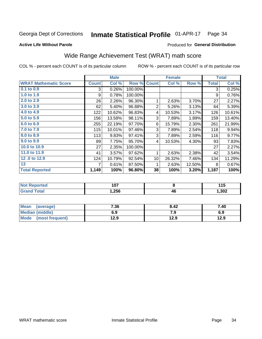#### Inmate Statistical Profile 01-APR-17 Page 34

### **Active Life Without Parole**

### Produced for General Distribution

## Wide Range Achievement Test (WRAT) math score

COL % - percent each COUNT is of its particular column

|                              | <b>Male</b>  |        |         |                 | <b>Female</b> | <b>Total</b> |              |        |
|------------------------------|--------------|--------|---------|-----------------|---------------|--------------|--------------|--------|
| <b>WRAT Mathematic Score</b> | <b>Count</b> | Col %  | Row %   | <b>Count</b>    | Col %         | Row %        | <b>Total</b> | Col %  |
| $0.1$ to $0.9$               | 3            | 0.26%  | 100.00% |                 |               |              | 3            | 0.25%  |
| 1.0 to 1.9                   | 9            | 0.78%  | 100.00% |                 |               |              | 9            | 0.76%  |
| 2.0 to 2.9                   | 26           | 2.26%  | 96.30%  | 1               | 2.63%         | 3.70%        | 27           | 2.27%  |
| 3.0 to 3.9                   | 62           | 5.40%  | 96.88%  | $\overline{2}$  | 5.26%         | 3.13%        | 64           | 5.39%  |
| 4.0 to 4.9                   | 122          | 10.62% | 96.83%  | 4               | 10.53%        | 3.17%        | 126          | 10.61% |
| 5.0 to 5.9                   | 156          | 13.58% | 98.11%  | 3               | 7.89%         | 1.89%        | 159          | 13.40% |
| 6.0 to 6.9                   | 255          | 22.19% | 97.70%  | 6               | 15.79%        | 2.30%        | 261          | 21.99% |
| 7.0 to 7.9                   | 115          | 10.01% | 97.46%  | 3               | 7.89%         | 2.54%        | 118          | 9.94%  |
| 8.0 to 8.9                   | 113          | 9.83%  | 97.41%  | 3               | 7.89%         | 2.59%        | 116          | 9.77%  |
| 9.0 to 9.9                   | 89           | 7.75%  | 95.70%  | 4               | 10.53%        | 4.30%        | 93           | 7.83%  |
| 10.0 to 10.9                 | 27           | 2.35%  | 100.00% |                 |               |              | 27           | 2.27%  |
| 11.0 to 11.9                 | 41           | 3.57%  | 97.62%  | 1               | 2.63%         | 2.38%        | 42           | 3.54%  |
| 12.0 to 12.9                 | 124          | 10.79% | 92.54%  | 10 <sup>1</sup> | 26.32%        | 7.46%        | 134          | 11.29% |
| 13                           | 7            | 0.61%  | 87.50%  | 1               | 2.63%         | 12.50%       | 8            | 0.67%  |
| <b>Total Reported</b>        | 1,149        | 100%   | 96.80%  | 38              | 100%          | 3.20%        | 1,187        | 100%   |
|                              |              |        |         |                 |               |              |              |        |

| <b>Not Reported</b>          | 107   |    | 44 F<br>. |
|------------------------------|-------|----|-----------|
| <b>Total</b><br><b>Grand</b> | .256، | 46 | ,302      |

| Mean (average)       | 7.36 | 8.42 | 7.40 |
|----------------------|------|------|------|
| Median (middle)      | 6.9  | 7.9  | 6.9  |
| Mode (most frequent) | 12.9 | 12.9 | 12.9 |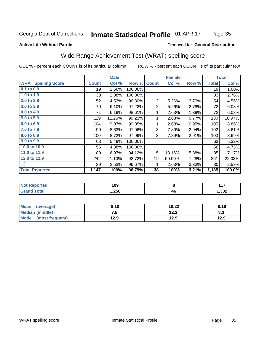#### Inmate Statistical Profile 01-APR-17 Page 35

### **Active Life Without Parole**

#### Produced for General Distribution

## Wide Range Achievement Test (WRAT) spelling score

COL % - percent each COUNT is of its particular column

|                            |              | <b>Male</b> |         | <b>Female</b>  |           |       | <b>Total</b> |        |
|----------------------------|--------------|-------------|---------|----------------|-----------|-------|--------------|--------|
| <b>WRAT Spelling Score</b> | <b>Count</b> | Col %       | Row %   | <b>Count</b>   | Col %     | Row % | <b>Total</b> | Col %  |
| $0.1$ to $0.9$             | 19           | 1.66%       | 100.00% |                |           |       | 19           | 1.60%  |
| 1.0 to 1.9                 | 33           | 2.88%       | 100.00% |                |           |       | 33           | 2.78%  |
| 2.0 to 2.9                 | 52           | 4.53%       | 96.30%  | $\overline{2}$ | 5.26%     | 3.70% | 54           | 4.56%  |
| 3.0 to 3.9                 | 70           | 6.10%       | 97.22%  | $\overline{2}$ | 5.26%     | 2.78% | 72           | 6.08%  |
| 4.0 to 4.9                 | 71           | 6.19%       | 98.61%  | 1              | 2.63%     | 1.39% | 72           | 6.08%  |
| 5.0 to 5.9                 | 129          | 11.25%      | 99.23%  | 1              | 2.63%     | 0.77% | 130          | 10.97% |
| 6.0 to 6.9                 | 104          | 9.07%       | 99.05%  | 1              | 2.63%     | 0.95% | 105          | 8.86%  |
| 7.0 to 7.9                 | 99           | 8.63%       | 97.06%  | 3              | 7.89%     | 2.94% | 102          | 8.61%  |
| 8.0 to 8.9                 | 100          | 8.72%       | 97.09%  | 3              | 7.89%     | 2.91% | 103          | 8.69%  |
| 9.0 to 9.9                 | 63           | 5.49%       | 100.00% |                |           |       | 63           | 5.32%  |
| 10.0 to 10.9               | 56           | 4.88%       | 100.00% |                |           |       | 56           | 4.73%  |
| 11.0 to 11.9               | 80           | 6.97%       | 94.12%  | 5              | 13.16%    | 5.88% | 85           | 7.17%  |
| 12.0 to 12.9               | 242          | 21.10%      | 92.72%  | 19             | 50.00%    | 7.28% | 261          | 22.03% |
| 13                         | 29           | 2.53%       | 96.67%  | 1              | 2.63%     | 3.33% | 30           | 2.53%  |
| <b>Total Reported</b>      | 1,147        | 100%        | 96.79%  | 38             | 100%      | 3.21% | 1,185        | 100.0% |
|                            |              |             |         |                |           |       |              |        |
| <b>Net Departed</b>        |              | $\sqrt{2}$  |         |                | $\bullet$ |       |              | 447    |

| N<br>$\blacksquare$ | 109  |          | 447  |
|---------------------|------|----------|------|
|                     | ,256 | Λſ<br>יד | ,302 |

| Mean (average)         | 8.10 | 10.22 | 8.16 |
|------------------------|------|-------|------|
| <b>Median (middle)</b> | 7.a  | 12.3  | 8.3  |
| Mode (most frequent)   | 12.9 | 12.9  | 12.9 |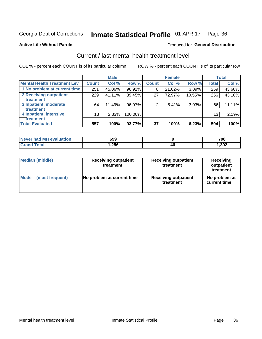#### Inmate Statistical Profile 01-APR-17 Page 36

#### **Active Life Without Parole**

#### Produced for General Distribution

## Current / last mental health treatment level

COL % - percent each COUNT is of its particular column

|                                    |              | <b>Male</b> |         |              | <b>Female</b> |        |                 | <b>Total</b> |
|------------------------------------|--------------|-------------|---------|--------------|---------------|--------|-----------------|--------------|
| <b>Mental Health Treatment Lev</b> | <b>Count</b> | Col%        | Row %   | <b>Count</b> | Col %         | Row %  | Total           | Col %        |
| 1 No problem at current time       | 251          | 45.06%      | 96.91%  | 8            | 21.62%        | 3.09%  | 259             | 43.60%       |
| 2 Receiving outpatient             | 229          | 41.11%      | 89.45%  | 27           | 72.97%        | 10.55% | 256             | 43.10%       |
| Treatment                          |              |             |         |              |               |        |                 |              |
| 3 Inpatient, moderate              | 64           | 11.49%      | 96.97%  | 2            | 5.41%         | 3.03%  | 66              | 11.11%       |
| Treatment                          |              |             |         |              |               |        |                 |              |
| 4 Inpatient, intensive             | 13           | 2.33%       | 100.00% |              |               |        | 13 <sub>1</sub> | 2.19%        |
| Treatment                          |              |             |         |              |               |        |                 |              |
| <b>Total Evaluated</b>             | 557          | 100%        | 93.77%  | 37           | 100%          | 6.23%  | 594             | 100%         |

| Never had MH evaluation | 699  |    | 708    |
|-------------------------|------|----|--------|
| Total                   | .256 | 46 | 302, ا |

| <b>Median (middle)</b> | <b>Receiving outpatient</b><br>treatment | <b>Receiving outpatient</b><br>treatment | <b>Receiving</b><br>outpatient<br>treatment |  |  |
|------------------------|------------------------------------------|------------------------------------------|---------------------------------------------|--|--|
| <b>Mode</b>            | No problem at current time               | <b>Receiving outpatient</b>              | No problem at                               |  |  |
| (most frequent)        |                                          | treatment                                | current time                                |  |  |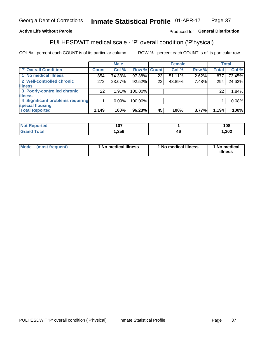#### Inmate Statistical Profile 01-APR-17 Page 37

### **Active Life Without Parole**

### Produced for General Distribution

## PULHESDWIT medical scale - 'P' overall condition ('P'hysical)

COL % - percent each COUNT is of its particular column

|                                  | <b>Male</b> |    |                                                                 |               | <b>Total</b>                     |
|----------------------------------|-------------|----|-----------------------------------------------------------------|---------------|----------------------------------|
| <b>Count</b>                     | Col %       |    | Col %                                                           | <b>Total</b>  | Col %                            |
| 854                              | 74.33%      | 23 | 51.11%                                                          | 877           | 73.45%                           |
| 272 <sub>1</sub>                 | 23.67%      | 22 | 48.89%                                                          | 294           | 24.62%                           |
|                                  |             |    |                                                                 |               |                                  |
| 22                               | 1.91%       |    |                                                                 | 22            | 1.84%                            |
|                                  |             |    |                                                                 |               |                                  |
| 4 Significant problems requiring | 0.09%       |    |                                                                 |               | 0.08%                            |
|                                  |             |    |                                                                 |               |                                  |
| 1,149                            | 100%        | 45 | 100%                                                            | 1,194         | 100%                             |
|                                  |             |    | Row % Count<br>97.38%<br>92.52%<br>100.00%<br>100.00%<br>96.23% | <b>Female</b> | Row %<br>2.62%<br>7.48%<br>3.77% |

| $\sim$<br>$\cdots$ |          | 108  |
|--------------------|----------|------|
| ,256               | лı<br>41 | ,302 |

| Mode<br>(most frequent) | 1 No medical illness | 1 No medical illness | 1 No medical<br>illness |
|-------------------------|----------------------|----------------------|-------------------------|
|-------------------------|----------------------|----------------------|-------------------------|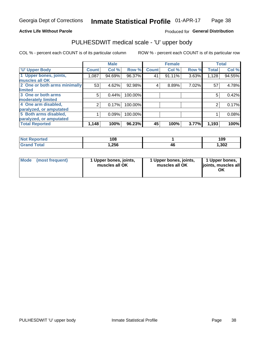### **Active Life Without Parole**

### Produced for General Distribution

## PULHESDWIT medical scale - 'U' upper body

COL % - percent each COUNT is of its particular column

|                              |              | <b>Male</b> |         |              | <b>Female</b> |       |              | <b>Total</b> |
|------------------------------|--------------|-------------|---------|--------------|---------------|-------|--------------|--------------|
| <b>'U' Upper Body</b>        | <b>Count</b> | Col %       | Row %   | <b>Count</b> | Col %         | Row % | <b>Total</b> | Col %        |
| 1 Upper bones, joints,       | 1,087        | 94.69%      | 96.37%  | 41           | 91.11%        | 3.63% | 1,128        | 94.55%       |
| muscles all OK               |              |             |         |              |               |       |              |              |
| 2 One or both arms minimally | 53           | 4.62%       | 92.98%  | 4            | 8.89%         | 7.02% | 57           | 4.78%        |
| limited                      |              |             |         |              |               |       |              |              |
| 3 One or both arms           | 5            | 0.44%       | 100.00% |              |               |       | 5            | 0.42%        |
| moderately limited           |              |             |         |              |               |       |              |              |
| 4 One arm disabled,          | 2            | 0.17%       | 100.00% |              |               |       | 2            | 0.17%        |
| paralyzed, or amputated      |              |             |         |              |               |       |              |              |
| 5 Both arms disabled,        |              | 0.09%       | 100.00% |              |               |       |              | 0.08%        |
| paralyzed, or amputated      |              |             |         |              |               |       |              |              |
| <b>Total Reported</b>        | 1,148        | 100%        | 96.23%  | 45           | 100%          | 3.77% | 1,193        | 100%         |

| <b>Not Reported</b> | 108  |    | 109   |
|---------------------|------|----|-------|
| <b>Grand Total</b>  | 256. | 46 | 1,302 |

| Mode (most frequent) | 1 Upper bones, joints,<br>muscles all OK | 1 Upper bones, joints,<br>muscles all OK | 1 Upper bones,<br>joints, muscles all<br>ΟK |
|----------------------|------------------------------------------|------------------------------------------|---------------------------------------------|
|----------------------|------------------------------------------|------------------------------------------|---------------------------------------------|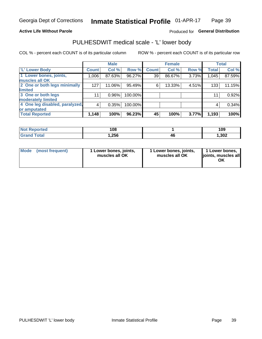### **Active Life Without Parole**

### Produced for General Distribution

## PULHESDWIT medical scale - 'L' lower body

COL % - percent each COUNT is of its particular column

|                                | <b>Male</b>    |          | <b>Female</b> |              |        | <b>Total</b> |              |        |
|--------------------------------|----------------|----------|---------------|--------------|--------|--------------|--------------|--------|
| 'L' Lower Body                 | <b>Count</b>   | Col %    | Row %         | <b>Count</b> | Col %  | Row %        | <b>Total</b> | Col %  |
| 1 Lower bones, joints,         | 1,006          | 87.63%   | 96.27%        | 39           | 86.67% | 3.73%        | 1,045        | 87.59% |
| muscles all OK                 |                |          |               |              |        |              |              |        |
| 2 One or both legs minimally   | 127            | 11.06%   | 95.49%        | 6            | 13.33% | 4.51%        | 133          | 11.15% |
| limited                        |                |          |               |              |        |              |              |        |
| 3 One or both legs             | 11             | $0.96\%$ | 100.00%       |              |        |              | 11           | 0.92%  |
| moderately limited             |                |          |               |              |        |              |              |        |
| 4 One leg disabled, paralyzed, | $\overline{4}$ | 0.35%    | 100.00%       |              |        |              | 4            | 0.34%  |
| or amputated                   |                |          |               |              |        |              |              |        |
| <b>Total Reported</b>          | 1,148          | 100%     | 96.23%        | 45           | 100%   | 3.77%        | 1,193        | 100%   |

| <b>Not Reported</b> | 108  |    | 109   |
|---------------------|------|----|-------|
| <b>Total</b>        | ,256 | тv | 1,302 |

| Mode | (most frequent) | 1 Lower bones, joints,<br>muscles all OK | 1 Lower bones, joints,<br>muscles all OK | 1 Lower bones,<br>ljoints, muscles all<br>OK |
|------|-----------------|------------------------------------------|------------------------------------------|----------------------------------------------|
|------|-----------------|------------------------------------------|------------------------------------------|----------------------------------------------|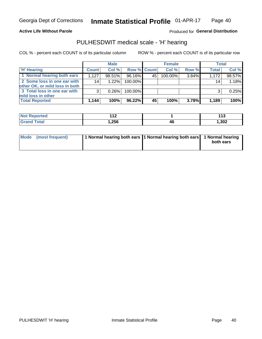**Active Life Without Parole** 

Produced for General Distribution

## PULHESDWIT medical scale - 'H' hearing

COL % - percent each COUNT is of its particular column

|                                                               |              | <b>Male</b> |             |     | <b>Female</b> |       | <b>Total</b> |        |
|---------------------------------------------------------------|--------------|-------------|-------------|-----|---------------|-------|--------------|--------|
| <b>H'</b> Hearing                                             | <b>Count</b> | Col %       | Row % Count |     | Col%          | Row % | <b>Total</b> | Col %  |
| 1 Normal hearing both ears                                    | 1.127        | 98.51%      | 96.16%      | 45' | 100.00%       | 3.84% | 1,172        | 98.57% |
| 2 Some loss in one ear with<br>other OK, or mild loss in both | 14           | $1.22\%$    | 100.00%     |     |               |       | 14           | 1.18%  |
| 3 Total loss in one ear with<br>mild loss in other            | 3            | 0.26%       | 100.00%     |     |               |       |              | 0.25%  |
| <b>Total Reported</b>                                         | 1,144        | 100%        | $96.22\%$   | 45  | 100%          | 3.78% | 1,189        | 100%   |

| <b>Not</b><br>Reported | 14 O<br>. . |     | 44 <sup>o</sup><br>. |
|------------------------|-------------|-----|----------------------|
| <b>otal</b>            | 256,،       | -46 | 302,                 |

| Mode (most frequent) | 1 Normal hearing both ears 1 Normal hearing both ears 1 Normal hearing | both ears |
|----------------------|------------------------------------------------------------------------|-----------|
|----------------------|------------------------------------------------------------------------|-----------|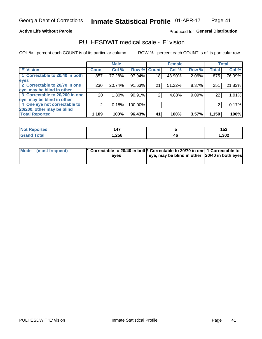### **Active Life Without Parole**

### Produced for General Distribution

## PULHESDWIT medical scale - 'E' vision

COL % - percent each COUNT is of its particular column

|                                |                 | <b>Male</b> |             |                 | <b>Female</b> |       |              | <b>Total</b> |
|--------------------------------|-----------------|-------------|-------------|-----------------|---------------|-------|--------------|--------------|
| <b>E' Vision</b>               | <b>Count</b>    | Col %       | Row % Count |                 | Col %         | Row % | <b>Total</b> | Col %        |
| 1 Correctable to 20/40 in both | 857             | 77.28%      | 97.94%      | 18 <sub>1</sub> | 43.90%        | 2.06% | 875          | 76.09%       |
| eyes                           |                 |             |             |                 |               |       |              |              |
| 2 Correctable to 20/70 in one  | 230             | 20.74%      | 91.63%      | 21              | 51.22%        | 8.37% | 251          | 21.83%       |
| eye, may be blind in other     |                 |             |             |                 |               |       |              |              |
| 3 Correctable to 20/200 in one | 20 <sub>1</sub> | $1.80\%$    | 90.91%      |                 | 4.88%         | 9.09% | 22           | 1.91%        |
| eye, may be blind in other     |                 |             |             |                 |               |       |              |              |
| 4 One eye not correctable to   |                 | 0.18%       | 100.00%     |                 |               |       | 2            | 0.17%        |
| 20/200, other may be blind     |                 |             |             |                 |               |       |              |              |
| <b>Total Reported</b>          | 1,109           | 100%        | 96.43%      | 41              | 100%          | 3.57% | 1,150        | 100%         |

| <b>Not Reported</b>   | $\overline{A7}$ |    | 4E <sub>2</sub><br>JJ 4 |
|-----------------------|-----------------|----|-------------------------|
| <b>Total</b><br>Grand | ,256            | 46 | ,302                    |

| Mode (most frequent) | 1 Correctable to 20/40 in both 2 Correctable to 20/70 in one 1 Correctable to<br>eves | eye, may be blind in other 20/40 in both eyes |  |
|----------------------|---------------------------------------------------------------------------------------|-----------------------------------------------|--|
|                      |                                                                                       |                                               |  |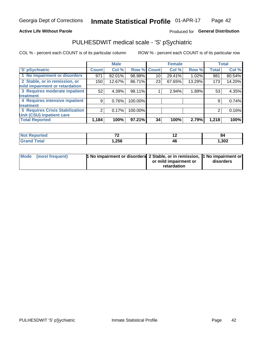### **Active Life Without Parole**

### Produced for General Distribution

## PULHESDWIT medical scale - 'S' pSychiatric

COL % - percent each COUNT is of its particular column

|                                        |              | <b>Male</b> |         |              | <b>Female</b> |        |              | <b>Total</b> |
|----------------------------------------|--------------|-------------|---------|--------------|---------------|--------|--------------|--------------|
| 'S' pSychiatric                        | <b>Count</b> | Col %       | Row %   | <b>Count</b> | Col %         | Row %  | <b>Total</b> | Col %        |
| 1 No impairment or disorders           | 971          | 82.01%      | 98.98%  | 10           | 29.41%        | 1.02%  | 981          | 80.54%       |
| 2 Stable, or in remission, or          | 150          | 12.67%      | 86.71%  | 23           | 67.65%        | 13.29% | 173          | 14.20%       |
| mild impairment or retardation         |              |             |         |              |               |        |              |              |
| 3 Requires moderate inpatient          | 52           | 4.39%       | 98.11%  |              | 2.94%         | 1.89%  | 53           | 4.35%        |
| treatment                              |              |             |         |              |               |        |              |              |
| 4 Requires intensive inpatient         | 9            | 0.76%       | 100.00% |              |               |        | 9            | 0.74%        |
| treatment                              |              |             |         |              |               |        |              |              |
| <b>5 Requires Crisis Stabilization</b> | 2            | 0.17%       | 100.00% |              |               |        | 2            | 0.16%        |
| Unit (CSU) inpatient care              |              |             |         |              |               |        |              |              |
| <b>Total Reported</b>                  | 1,184        | 100%        | 97.21%  | 34           | 100%          | 2.79%  | 1,218        | 100%         |

| <b>Not Reported</b>  | $\mathbf{z}$ | . . | 84   |
|----------------------|--------------|-----|------|
| Total<br><b>Gran</b> | 256,         | 4t  | 302, |

| Mode (most frequent) | <b>1 No impairment or disorders</b> 2 Stable, or in remission, 11 No impairment or |                       |           |
|----------------------|------------------------------------------------------------------------------------|-----------------------|-----------|
|                      |                                                                                    | or mild impairment or | disorders |
|                      |                                                                                    | retardation           |           |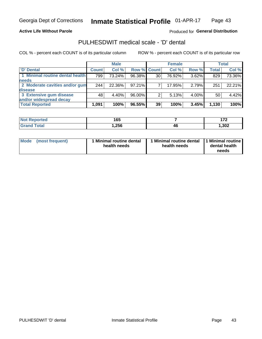**Active Life Without Parole** 

Produced for General Distribution

## PULHESDWIT medical scale - 'D' dental

COL % - percent each COUNT is of its particular column

|                                 |              | <b>Male</b> |                    |    | <b>Female</b> |       |              | <b>Total</b> |
|---------------------------------|--------------|-------------|--------------------|----|---------------|-------|--------------|--------------|
| 'D' Dental                      | <b>Count</b> | Col %       | <b>Row % Count</b> |    | Col %         | Row % | <b>Total</b> | Col %        |
| 1 Minimal routine dental health | 799          | 73.24%      | 96.38%             | 30 | 76.92%        | 3.62% | 829          | 73.36%       |
| <b>needs</b>                    |              |             |                    |    |               |       |              |              |
| 2 Moderate cavities and/or gum  | 244          | 22.36%      | $97.21\%$          |    | 17.95%        | 2.79% | 251          | 22.21%       |
| disease                         |              |             |                    |    |               |       |              |              |
| 3 Extensive gum disease         | 48           | 4.40%       | 96.00%             |    | 5.13%         | 4.00% | 50           | 4.42%        |
| and/or widespread decay         |              |             |                    |    |               |       |              |              |
| <b>Total Reported</b>           | 1,091        | 100%        | 96.55%             | 39 | 100%          | 3.45% | 1,130        | 100%         |

| prtea<br>NOT RADO<br>$\cdot$ | .<br>טטו |    | $\bar{\ }$ |
|------------------------------|----------|----|------------|
| <b>Total</b>                 | 256, ا   | 46 | 302,       |

| <b>Mode</b>     | l Minimal routine dental | 1 Minimal routine dental 1 Minimal routine | dental health |
|-----------------|--------------------------|--------------------------------------------|---------------|
| (most frequent) | health needs             | health needs                               | needs         |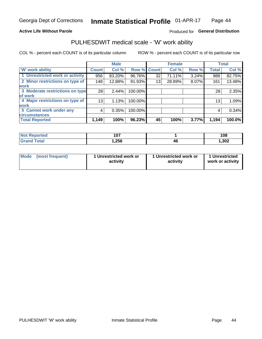### **Active Life Without Parole**

### Produced for General Distribution

### PULHESDWIT medical scale - 'W' work ability

COL % - percent each COUNT is of its particular column

|                                 |              | <b>Male</b> |         |             | <b>Female</b> |       |              | <b>Total</b> |
|---------------------------------|--------------|-------------|---------|-------------|---------------|-------|--------------|--------------|
| <b>W' work ability</b>          | <b>Count</b> | Col %       |         | Row % Count | Col %         | Row % | <b>Total</b> | Col %        |
| 1 Unrestricted work or activity | 956          | 83.20%      | 96.76%  | 32          | 71.11%        | 3.24% | 988          | 82.75%       |
| 2 Minor restrictions on type of | 148          | 12.88%      | 91.93%  | 13          | 28.89%        | 8.07% | 161          | 13.48%       |
| <b>work</b>                     |              |             |         |             |               |       |              |              |
| 3 Moderate restrictions on type | 28           | 2.44%       | 100.00% |             |               |       | 28           | 2.35%        |
| lof work                        |              |             |         |             |               |       |              |              |
| 4 Major restrictions on type of | 13           | 1.13%       | 100.00% |             |               |       | 13           | 1.09%        |
| <b>work</b>                     |              |             |         |             |               |       |              |              |
| 5 Cannot work under any         | 4            | 0.35%       | 100.00% |             |               |       | 4            | 0.34%        |
| <b>circumstances</b>            |              |             |         |             |               |       |              |              |
| <b>Total Reported</b>           | 1,149        | 100%        | 96.23%  | 45          | 100%          | 3.77% | 1,194        | 100.0%       |

| <b>Not Reported</b>   | 1 N 7<br>1 V I |    | 108   |
|-----------------------|----------------|----|-------|
| <b>Total</b><br>Cron/ | 256,           | 4t | , 302 |

| Mode (most frequent) | 1 Unrestricted work or | 1 Unrestricted work or | 1 Unrestricted   |
|----------------------|------------------------|------------------------|------------------|
|                      | activity               | activity               | work or activity |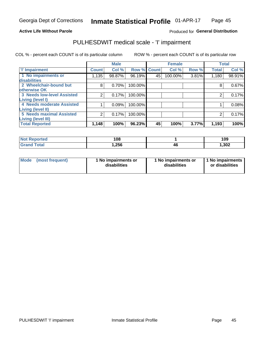#### **Active Life Without Parole**

### Produced for General Distribution

## PULHESDWIT medical scale - 'I' impairment

COL % - percent each COUNT is of its particular column ROW % - percent each COUNT is of its particular row

|                                   |              | <b>Male</b> |             |    | <b>Female</b> |       |              | <b>Total</b> |
|-----------------------------------|--------------|-------------|-------------|----|---------------|-------|--------------|--------------|
| <b>T' Impairment</b>              | <b>Count</b> | Col %       | Row % Count |    | Col %         | Row % | <b>Total</b> | Col %        |
| 1 No impairments or               | 1,135        | 98.87%      | 96.19%      | 45 | 100.00%       | 3.81% | 1,180        | 98.91%       |
| <b>disabilities</b>               |              |             |             |    |               |       |              |              |
| 2 Wheelchair-bound but            | 8            | 0.70%       | 100.00%     |    |               |       | 8            | 0.67%        |
| otherwise OK                      |              |             |             |    |               |       |              |              |
| <b>3 Needs low-level Assisted</b> | 2            | 0.17%       | 100.00%     |    |               |       |              | 0.17%        |
| Living (level I)                  |              |             |             |    |               |       |              |              |
| 4 Needs moderate Assisted         |              | 0.09%       | 100.00%     |    |               |       |              | 0.08%        |
| Living (level II)                 |              |             |             |    |               |       |              |              |
| <b>5 Needs maximal Assisted</b>   | 2            | 0.17%       | 100.00%     |    |               |       | 2            | 0.17%        |
| Living (level III)                |              |             |             |    |               |       |              |              |
| <b>Total Reported</b>             | 1,148        | 100%        | $96.23\%$   | 45 | 100%          | 3.77% | 1,193        | 100%         |

| ported      | 108   |    | 109   |
|-------------|-------|----|-------|
| <b>otal</b> | 1,256 | 16 | 1,302 |

| Mode | (most frequent) | 1 No impairments or<br>disabilities | 1 No impairments or<br>disabilities | 1 No impairments<br>or disabilities |
|------|-----------------|-------------------------------------|-------------------------------------|-------------------------------------|
|------|-----------------|-------------------------------------|-------------------------------------|-------------------------------------|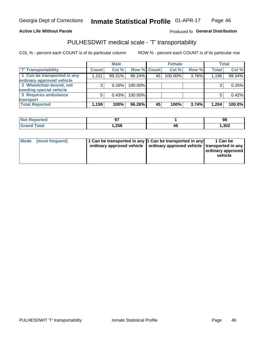#### **Active Life Without Parole**

### Produced fo General Distribution

## PULHESDWIT medical scale - 'T' transportability

COL % - percent each COUNT is of its particular column

|                             |              | <b>Male</b> |             |    | <b>Female</b> |       |              | <b>Total</b> |
|-----------------------------|--------------|-------------|-------------|----|---------------|-------|--------------|--------------|
| <b>T' Transportability</b>  | <b>Count</b> | Col%        | Row % Count |    | Col %         | Row % | <b>Total</b> | Col %        |
| 1 Can be transported in any | 1,151        | 99.31%      | 96.24%      | 45 | 100.00%       | 3.76% | 1,196        | 99.34%       |
| ordinary approved vehicle   |              |             |             |    |               |       |              |              |
| 2 Wheelchair-bound, not     |              | 0.26%       | 100.00%     |    |               |       |              | 0.25%        |
| needing special vehicle     |              |             |             |    |               |       |              |              |
| 5 Requires ambulance        |              | 0.43%       | 100.00%     |    |               |       |              | 0.42%        |
| transport                   |              |             |             |    |               |       |              |              |
| <b>Total Reported</b>       | 1,159        | 100%        | 96.26%      | 45 | 100%          | 3.74% | 1,204        | 100.0%       |

| <b>eported</b> | רח<br>∼. |    | 98    |
|----------------|----------|----|-------|
|                | 256,،    | 4Ł | 1,302 |

| Mode (most frequent) | 1 Can be transported in any 1 Can be transported in any | ordinary approved vehicle   ordinary approved vehicle   transported in any | 1 Can be<br>ordinary approved<br>vehicle |
|----------------------|---------------------------------------------------------|----------------------------------------------------------------------------|------------------------------------------|
|                      |                                                         |                                                                            |                                          |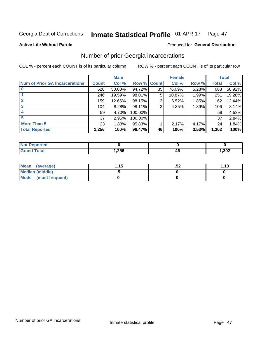#### Inmate Statistical Profile 01-APR-17 Page 47

#### **Active Life Without Parole**

### **Produced for General Distribution**

## Number of prior Georgia incarcerations

COL % - percent each COUNT is of its particular column

|                                       |              | <b>Male</b> |                    |    | <b>Female</b> |       |       | <b>Total</b> |
|---------------------------------------|--------------|-------------|--------------------|----|---------------|-------|-------|--------------|
| <b>Num of Prior GA Incarcerations</b> | <b>Count</b> | Col %       | <b>Row % Count</b> |    | Col %         | Row % | Total | Col %        |
|                                       | 628          | 50.00%      | 94.72%             | 35 | 76.09%        | 5.28% | 663   | 50.92%       |
|                                       | 246          | 19.59%      | 98.01%             | 5  | 10.87%        | 1.99% | 251   | 19.28%       |
|                                       | 159          | 12.66%      | 98.15%             | 3  | 6.52%         | 1.85% | 162   | 12.44%       |
| 3                                     | 104          | 8.28%       | 98.11%             | 2  | 4.35%         | 1.89% | 106   | 8.14%        |
| 4                                     | 59           | 4.70%       | 100.00%            |    |               |       | 59    | 4.53%        |
| 5                                     | 37           | 2.95%       | 100.00%            |    |               |       | 37    | 2.84%        |
| <b>More Than 5</b>                    | 23           | 1.83%       | 95.83%             |    | 2.17%         | 4.17% | 24    | 1.84%        |
| <b>Total Reported</b>                 | 1,256        | 100%        | 96.47%             | 46 | 100%          | 3.53% | 1,302 | 100%         |

| orted<br><b>NI</b>             |        |            |      |
|--------------------------------|--------|------------|------|
| <b>otal</b><br>$\mathsf{v}$ nu | 256, ا | /I F<br>44 | ,302 |

| Mean (average)         | 1.15 | .JZ | 1.13 |
|------------------------|------|-----|------|
| <b>Median (middle)</b> |      |     |      |
| Mode (most frequent)   |      |     |      |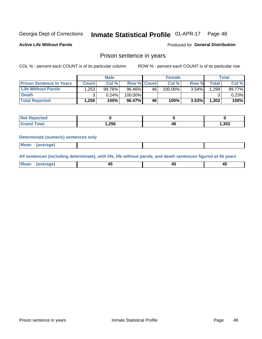#### Inmate Statistical Profile 01-APR-17 Page 48

**Active Life Without Parole** 

Produced for General Distribution

### Prison sentence in years

COL % - percent each COUNT is of its particular column

ROW % - percent each COUNT is of its particular row

|                                 |         | <b>Male</b> |                    |    | <b>Female</b> |          |             | Total  |
|---------------------------------|---------|-------------|--------------------|----|---------------|----------|-------------|--------|
| <b>Prison Sentence In Years</b> | Count l | Col %       | <b>Row % Count</b> |    | Col %         | Row %    | $\tau$ otal | Col %  |
| <b>Life Without Parole</b>      | 1.253   | 99.76%      | 96.46%             | 46 | 100.00%       | $3.54\%$ | .299        | 99.77% |
| <b>Death</b>                    |         | 0.24%       | 100.00%            |    |               |          |             | 0.23%  |
| <b>Total Reported</b>           | 1,256   | 100%        | 96.47%             | 46 | 100%          | 3.53%    | 1,302       | 100%   |

| <b>Reported</b><br>∴NO∟ |       |           |       |
|-------------------------|-------|-----------|-------|
| <b>Total</b>            | 1,256 | л.<br>- - | 1,302 |

#### **Determinate (numeric) sentences only**

| ' Mea<br><b>Service</b> A<br>ЯМА. |  |  |  |
|-----------------------------------|--|--|--|
|                                   |  |  |  |

All sentences (including determinate), with life, life without parole, and death sentences figured at 45 years

| l Mea<br>'апе<br>.<br> | ᠇<br>$\sim$ | $\sim$ |  |
|------------------------|-------------|--------|--|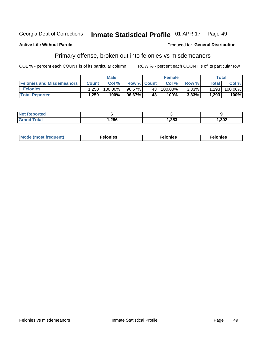#### Inmate Statistical Profile 01-APR-17 Georgia Dept of Corrections Page 49

#### **Active Life Without Parole**

#### Produced for General Distribution

## Primary offense, broken out into felonies vs misdemeanors

COL % - percent each COUNT is of its particular column

|                                  |              | <b>Male</b> |                    |      | <b>Female</b> |          |                    | Total   |
|----------------------------------|--------------|-------------|--------------------|------|---------------|----------|--------------------|---------|
| <b>Felonies and Misdemeanors</b> | <b>Count</b> | Col%        | <b>Row % Count</b> |      | Col%          | Row %    | Total <sub>1</sub> | Col %   |
| <b>Felonies</b>                  | .250         | 100.00%     | 96.67%             | 43 l | 100.00%       | $3.33\%$ | 1,293              | 100.00% |
| <b>Total Reported</b>            | .250         | $100\%$     | 96.67%             | 43'  | 100%          | 3.33%    | 1,293              | 100%    |

| <b>Not Reported</b>     |       |      |       |
|-------------------------|-------|------|-------|
| d Total<br><b>Grand</b> | 1,256 | ,253 | 1,302 |

| $Mc$<br>equent)<br>нез<br>$\sim$<br>. | onies<br>. | <b>onies</b><br>. |
|---------------------------------------|------------|-------------------|
|---------------------------------------|------------|-------------------|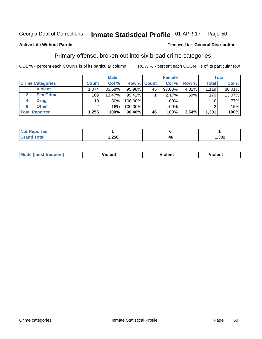#### Inmate Statistical Profile 01-APR-17 Page 50

### **Active Life Without Parole**

#### Produced for General Distribution

### Primary offense, broken out into six broad crime categories

COL % - percent each COUNT is of its particular column

|                         |                 | <b>Male</b> |           |             | <b>Female</b> |       |              | <b>Total</b> |
|-------------------------|-----------------|-------------|-----------|-------------|---------------|-------|--------------|--------------|
| <b>Crime Categories</b> | <b>Count</b>    | Col %       |           | Row % Count | Col %         | Row % | <b>Total</b> | Col %        |
| <b>Violent</b>          | 1.074           | 85.58%      | $95.98\%$ | 45          | 97.83%        | 4.02% | 1.119        | 86.01%       |
| <b>Sex Crime</b>        | 169             | 13.47%      | 99.41%    |             | 2.17%         | .59%  | 170          | 13.07%       |
| <b>Drug</b><br>4        | 10 <sup>1</sup> | .80%        | 100.00%   |             | .00%          |       | 10           | $.77\%$      |
| <b>Other</b><br>6       | っ               | .16%        | 100.00%   |             | .00%          |       |              | .15%         |
| <b>Total Reported</b>   | 1,255           | 100%        | 96.46%    | 46          | 100%          | 3.54% | 1,301        | 100%         |

| τeα<br>' NOT<br>$\cdots$ |      |      |
|--------------------------|------|------|
|                          | ,256 | ,302 |

| <b>Mode (most frequent)</b> |         |                | --             |
|-----------------------------|---------|----------------|----------------|
|                             | violent | <b>Violent</b> | <b>Violent</b> |
|                             |         |                |                |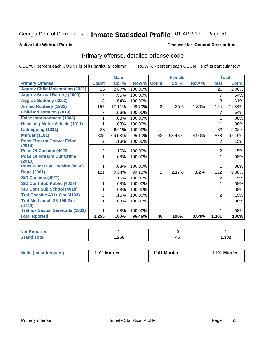#### Inmate Statistical Profile 01-APR-17 Page 51

### **Active Life Without Parole**

#### Produced for General Distribution

## Primary offense, detailed offense code

COL % - percent each COUNT is of its particular column

|                                            |                | <b>Male</b> |         |                | <b>Female</b> |       |                | <b>Total</b> |
|--------------------------------------------|----------------|-------------|---------|----------------|---------------|-------|----------------|--------------|
| <b>Primary Offense</b>                     | <b>Count</b>   | Col %       | Row %   | <b>Count</b>   | Col %         | Row % | <b>Total</b>   | Col %        |
| <b>Aggrav Child Molestation (2021)</b>     | 26             | 2.07%       | 100.00% |                |               |       | 26             | 2.00%        |
| <b>Aggrav Sexual Battery (2009)</b>        | 7              | .56%        | 100.00% |                |               |       | 7              | .54%         |
| <b>Aggrav Sodomy (2003)</b>                | 8              | .64%        | 100.00% |                |               |       | 8              | .61%         |
| <b>Armed Robbery (1902)</b>                | 152            | 12.11%      | 98.70%  | $\overline{2}$ | 4.35%         | 1.30% | 154            | 11.84%       |
| <b>Child Molestation (2019)</b>            |                | .56%        | 100.00% |                |               |       | 7              | .54%         |
| <b>False Imprisonment (1308)</b>           |                | .08%        | 100.00% |                |               |       | 1              | .08%         |
| <b>Hijacking Motor Vehicle (1911)</b>      |                | .08%        | 100.00% |                |               |       |                | .08%         |
| Kidnapping (1311)                          | 83             | 6.61%       | 100.00% |                |               |       | 83             | 6.38%        |
| <b>Murder (1101)</b>                       | 835            | 66.53%      | 95.10%  | 43             | 93.48%        | 4.90% | 878            | 67.49%       |
| <b>Poss Firearm Convct Felon</b>           | $\overline{2}$ | .16%        | 100.00% |                |               |       | 2              | .15%         |
| (2914)                                     |                |             |         |                |               |       |                |              |
| Poss Of Cocaine (4022)                     | $\overline{2}$ | .16%        | 100.00% |                |               |       | 2              | .15%         |
| <b>Poss Of Firearm Dur Crime</b><br>(2910) | 1              | .08%        | 100.00% |                |               |       | 1              | .08%         |
| Poss W Int Dist Cocaine (4050)             |                | .08%        | 100.00% |                |               |       |                | .08%         |
| <b>Rape (2001)</b>                         | 121            | 9.64%       | 99.18%  | 1              | 2.17%         | .82%  | 122            | 9.38%        |
| S/D Cocaine (4021)                         | 2              | .16%        | 100.00% |                |               |       | $\overline{2}$ | .15%         |
| S/D Cont Sub Public (4017)                 |                | .08%        | 100.00% |                |               |       | 1              | .08%         |
| S/D Cont Sub School (4018)                 |                | .08%        | 100.00% |                |               |       | 1              | .08%         |
| <b>Traf Cocaine 401+ Gm (4103)</b>         | 2              | .16%        | 100.00% |                |               |       | $\overline{2}$ | .15%         |
| <b>Traf Methamph 28-199 Gm</b>             | 1              | .08%        | 100.00% |                |               |       | 1              | .08%         |
| (4140)                                     |                |             |         |                |               |       |                |              |
| <b>Traffick Sexual Servitude (1331)</b>    | 1              | .08%        | 100.00% |                |               |       | 1              | .08%         |
| <b>Total Rported</b>                       | 1,255          | 100%        | 96.46%  | 46             | 100%          | 3.54% | 1,301          | 100%         |

| eported?<br><b>NOT</b> |      |           |       |
|------------------------|------|-----------|-------|
| <b>Total</b>           | .256 | . .<br>46 | 1,302 |

| Mode (most frequent) | 1101 Murder | 1101 Murder | 1101 Murder |
|----------------------|-------------|-------------|-------------|
|                      |             |             |             |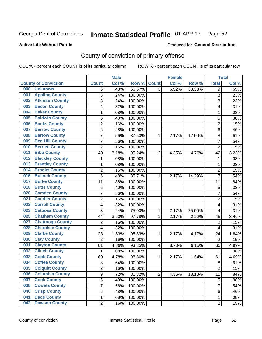## Inmate Statistical Profile 01-APR-17 Page 52

#### **Active Life Without Parole**

#### Produced for General Distribution

## County of conviction of primary offense

COL % - percent each COUNT is of its particular column

|                                |                | <b>Male</b> |         |                | <b>Female</b> |        |                           | <b>Total</b> |
|--------------------------------|----------------|-------------|---------|----------------|---------------|--------|---------------------------|--------------|
| <b>County of Conviction</b>    | <b>Count</b>   | Col %       | Row %   | <b>Count</b>   | Col %         | Row %  | <b>Total</b>              | Col %        |
| 000<br><b>Unknown</b>          | 6              | .48%        | 66.67%  | $\overline{3}$ | 6.52%         | 33.33% | 9                         | .69%         |
| <b>Appling County</b><br>001   | 3              | .24%        | 100.00% |                |               |        | $\ensuremath{\mathsf{3}}$ | .23%         |
| <b>Atkinson County</b><br>002  | 3              | .24%        | 100.00% |                |               |        | 3                         | .23%         |
| <b>Bacon County</b><br>003     | 4              | .32%        | 100.00% |                |               |        | 4                         | .31%         |
| <b>Baker County</b><br>004     | 1              | .08%        | 100.00% |                |               |        | 1                         | .08%         |
| <b>Baldwin County</b><br>005   | 5              | .40%        | 100.00% |                |               |        | 5                         | .38%         |
| <b>Banks County</b><br>006     | $\overline{2}$ | .16%        | 100.00% |                |               |        | $\overline{2}$            | .15%         |
| <b>Barrow County</b><br>007    | $\,6$          | .48%        | 100.00% |                |               |        | 6                         | .46%         |
| <b>Bartow County</b><br>008    | $\overline{7}$ | .56%        | 87.50%  | 1              | 2.17%         | 12.50% | 8                         | .61%         |
| <b>Ben Hill County</b><br>009  | 7              | .56%        | 100.00% |                |               |        | $\overline{7}$            | .54%         |
| <b>Berrien County</b><br>010   | $\overline{c}$ | .16%        | 100.00% |                |               |        | $\overline{2}$            | .15%         |
| <b>Bibb County</b><br>011      | 40             | 3.18%       | 95.24%  | $\overline{2}$ | 4.35%         | 4.76%  | 42                        | 3.23%        |
| <b>Bleckley County</b><br>012  | 1              | .08%        | 100.00% |                |               |        | $\mathbf 1$               | .08%         |
| <b>Brantley County</b><br>013  | 1              | .08%        | 100.00% |                |               |        | 1                         | .08%         |
| <b>Brooks County</b><br>014    | $\overline{c}$ | .16%        | 100.00% |                |               |        | $\overline{2}$            | .15%         |
| <b>Bulloch County</b><br>016   | $\,6$          | .48%        | 85.71%  | 1              | 2.17%         | 14.29% | $\overline{7}$            | .54%         |
| <b>Burke County</b><br>017     | 11             | .88%        | 100.00% |                |               |        | 11                        | .84%         |
| <b>Butts County</b><br>018     | 5              | .40%        | 100.00% |                |               |        | 5                         | .38%         |
| <b>Camden County</b><br>020    | $\overline{7}$ | .56%        | 100.00% |                |               |        | $\overline{7}$            | .54%         |
| <b>Candler County</b><br>021   | $\overline{c}$ | .16%        | 100.00% |                |               |        | $\overline{2}$            | .15%         |
| <b>Carroll County</b><br>022   | 4              | .32%        | 100.00% |                |               |        | $\overline{\mathbf{4}}$   | .31%         |
| <b>Catoosa County</b><br>023   | 3              | .24%        | 75.00%  | $\mathbf{1}$   | 2.17%         | 25.00% | 4                         | .31%         |
| <b>Chatham County</b><br>025   | 44             | 3.50%       | 97.78%  | 1              | 2.17%         | 2.22%  | 45                        | 3.46%        |
| <b>Chattooga County</b><br>027 | $\overline{2}$ | .16%        | 100.00% |                |               |        | $\overline{2}$            | .15%         |
| <b>Cherokee County</b><br>028  | 4              | .32%        | 100.00% |                |               |        | $\overline{\mathbf{4}}$   | .31%         |
| <b>Clarke County</b><br>029    | 23             | 1.83%       | 95.83%  | 1              | 2.17%         | 4.17%  | 24                        | 1.84%        |
| <b>Clay County</b><br>030      | $\overline{2}$ | .16%        | 100.00% |                |               |        | $\overline{2}$            | .15%         |
| <b>Clayton County</b><br>031   | 61             | 4.86%       | 93.85%  | 4              | 8.70%         | 6.15%  | 65                        | 4.99%        |
| <b>Clinch County</b><br>032    | 1              | .08%        | 100.00% |                |               |        | 1                         | .08%         |
| <b>Cobb County</b><br>033      | 60             | 4.78%       | 98.36%  | 1              | 2.17%         | 1.64%  | 61                        | 4.69%        |
| <b>Coffee County</b><br>034    | 8              | .64%        | 100.00% |                |               |        | 8                         | .61%         |
| 035<br><b>Colquitt County</b>  | 2              | .16%        | 100.00% |                |               |        | $\overline{\mathbf{c}}$   | .15%         |
| <b>Columbia County</b><br>036  | 9              | .72%        | 81.82%  | $\overline{2}$ | 4.35%         | 18.18% | 11                        | .84%         |
| 037<br><b>Cook County</b>      | 5              | .40%        | 100.00% |                |               |        | $\sqrt{5}$                | .38%         |
| <b>Coweta County</b><br>038    | 7              | .56%        | 100.00% |                |               |        | $\overline{7}$            | .54%         |
| <b>Crisp County</b><br>040     | 6              | .48%        | 100.00% |                |               |        | 6                         | .46%         |
| <b>Dade County</b><br>041      | 1              | .08%        | 100.00% |                |               |        | 1                         | .08%         |
| <b>Dawson County</b><br>042    | $\overline{2}$ | .16%        | 100.00% |                |               |        | $\overline{2}$            | .15%         |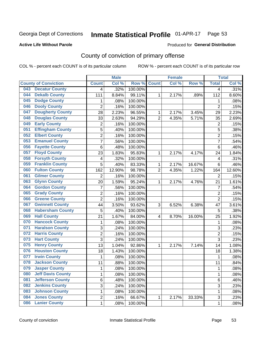#### Inmate Statistical Profile 01-APR-17 Page 53

#### **Active Life Without Parole**

#### Produced for General Distribution

## County of conviction of primary offense

COL % - percent each COUNT is of its particular column

|     |                             |                | <b>Male</b> |         |                | <b>Female</b> |        |                | <b>Total</b> |
|-----|-----------------------------|----------------|-------------|---------|----------------|---------------|--------|----------------|--------------|
|     | <b>County of Conviction</b> | <b>Count</b>   | Col %       | Row %   | <b>Count</b>   | Col %         | Row %  | <b>Total</b>   | Col %        |
| 043 | <b>Decatur County</b>       | 4              | .32%        | 100.00% |                |               |        | 4              | .31%         |
| 044 | <b>Dekalb County</b>        | 111            | 8.84%       | 99.11%  | 1              | 2.17%         | .89%   | 112            | 8.60%        |
| 045 | <b>Dodge County</b>         | 1              | .08%        | 100.00% |                |               |        | 1              | .08%         |
| 046 | <b>Dooly County</b>         | $\overline{2}$ | .16%        | 100.00% |                |               |        | $\overline{2}$ | .15%         |
| 047 | <b>Dougherty County</b>     | 28             | 2.23%       | 96.55%  | 1              | 2.17%         | 3.45%  | 29             | 2.23%        |
| 048 | <b>Douglas County</b>       | 33             | 2.63%       | 94.29%  | $\overline{2}$ | 4.35%         | 5.71%  | 35             | 2.69%        |
| 049 | <b>Early County</b>         | $\overline{c}$ | .16%        | 100.00% |                |               |        | $\overline{2}$ | .15%         |
| 051 | <b>Effingham County</b>     | 5              | .40%        | 100.00% |                |               |        | 5              | .38%         |
| 052 | <b>Elbert County</b>        | 2              | .16%        | 100.00% |                |               |        | $\overline{2}$ | .15%         |
| 053 | <b>Emanuel County</b>       | $\overline{7}$ | .56%        | 100.00% |                |               |        | 7              | .54%         |
| 056 | <b>Fayette County</b>       | 6              | .48%        | 100.00% |                |               |        | 6              | .46%         |
| 057 | <b>Floyd County</b>         | 23             | 1.83%       | 95.83%  | 1              | 2.17%         | 4.17%  | 24             | 1.84%        |
| 058 | <b>Forsyth County</b>       | 4              | .32%        | 100.00% |                |               |        | 4              | .31%         |
| 059 | <b>Franklin County</b>      | 5              | .40%        | 83.33%  | 1              | 2.17%         | 16.67% | 6              | .46%         |
| 060 | <b>Fulton County</b>        | 162            | 12.90%      | 98.78%  | $\overline{2}$ | 4.35%         | 1.22%  | 164            | 12.60%       |
| 061 | <b>Gilmer County</b>        | $\overline{2}$ | .16%        | 100.00% |                |               |        | $\overline{2}$ | .15%         |
| 063 | <b>Glynn County</b>         | 20             | 1.59%       | 95.24%  | 1              | 2.17%         | 4.76%  | 21             | 1.61%        |
| 064 | <b>Gordon County</b>        | 7              | .56%        | 100.00% |                |               |        | $\overline{7}$ | .54%         |
| 065 | <b>Grady County</b>         | $\overline{c}$ | .16%        | 100.00% |                |               |        | $\overline{2}$ | .15%         |
| 066 | <b>Greene County</b>        | $\overline{2}$ | .16%        | 100.00% |                |               |        | $\overline{2}$ | .15%         |
| 067 | <b>Gwinnett County</b>      | 44             | 3.50%       | 93.62%  | 3              | 6.52%         | 6.38%  | 47             | 3.61%        |
| 068 | <b>Habersham County</b>     | 5              | .40%        | 100.00% |                |               |        | 5              | .38%         |
| 069 | <b>Hall County</b>          | 21             | 1.67%       | 84.00%  | 4              | 8.70%         | 16.00% | 25             | 1.92%        |
| 070 | <b>Hancock County</b>       | 1              | .08%        | 100.00% |                |               |        | 1              | .08%         |
| 071 | <b>Haralson County</b>      | 3              | .24%        | 100.00% |                |               |        | 3              | .23%         |
| 072 | <b>Harris County</b>        | $\overline{2}$ | .16%        | 100.00% |                |               |        | $\overline{2}$ | .15%         |
| 073 | <b>Hart County</b>          | 3              | .24%        | 100.00% |                |               |        | 3              | .23%         |
| 075 | <b>Henry County</b>         | 13             | 1.04%       | 92.86%  | 1              | 2.17%         | 7.14%  | 14             | 1.08%        |
| 076 | <b>Houston County</b>       | 18             | 1.43%       | 100.00% |                |               |        | 18             | 1.38%        |
| 077 | <b>Irwin County</b>         | $\mathbf{1}$   | .08%        | 100.00% |                |               |        | $\mathbf{1}$   | .08%         |
| 078 | <b>Jackson County</b>       | 11             | .88%        | 100.00% |                |               |        | 11             | .84%         |
| 079 | <b>Jasper County</b>        | 1              | .08%        | 100.00% |                |               |        | 1              | .08%         |
| 080 | <b>Jeff Davis County</b>    | 1              | .08%        | 100.00% |                |               |        | $\mathbf{1}$   | .08%         |
| 081 | <b>Jefferson County</b>     | 6              | .48%        | 100.00% |                |               |        | 6              | .46%         |
| 082 | <b>Jenkins County</b>       | $\overline{3}$ | .24%        | 100.00% |                |               |        | $\overline{3}$ | .23%         |
| 083 | <b>Johnson County</b>       | 1              | .08%        | 100.00% |                |               |        | 1              | .08%         |
| 084 | <b>Jones County</b>         | 2              | .16%        | 66.67%  | $\mathbf{1}$   | 2.17%         | 33.33% | 3              | .23%         |
| 086 | <b>Lanier County</b>        | $\mathbf 1$    | .08%        | 100.00% |                |               |        | $\mathbf 1$    | .08%         |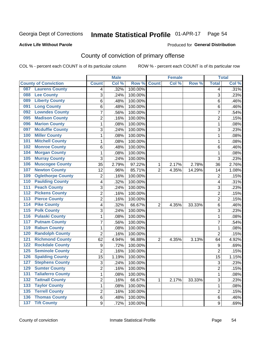#### Inmate Statistical Profile 01-APR-17 Page 54

#### **Active Life Without Parole**

#### Produced for General Distribution

## County of conviction of primary offense

COL % - percent each COUNT is of its particular column

|                                            |                | <b>Male</b> |         |                | <b>Female</b> |        |                | <b>Total</b> |
|--------------------------------------------|----------------|-------------|---------|----------------|---------------|--------|----------------|--------------|
| <b>County of Conviction</b>                | <b>Count</b>   | Col %       | Row %   | <b>Count</b>   | Col %         | Row %  | <b>Total</b>   | Col %        |
| <b>Laurens County</b><br>087               | 4              | .32%        | 100.00% |                |               |        | 4              | .31%         |
| <b>Lee County</b><br>088                   | 3              | .24%        | 100.00% |                |               |        | 3              | .23%         |
| <b>Liberty County</b><br>089               | 6              | .48%        | 100.00% |                |               |        | 6              | .46%         |
| <b>Long County</b><br>091                  | 6              | .48%        | 100.00% |                |               |        | 6              | .46%         |
| <b>Lowndes County</b><br>092               | 7              | .56%        | 100.00% |                |               |        | $\overline{7}$ | .54%         |
| <b>Madison County</b><br>095               | $\overline{2}$ | .16%        | 100.00% |                |               |        | $\overline{2}$ | .15%         |
| <b>Marion County</b><br>096                | 1              | .08%        | 100.00% |                |               |        | $\mathbf{1}$   | .08%         |
| <b>Mcduffie County</b><br>097              | 3              | .24%        | 100.00% |                |               |        | 3              | .23%         |
| <b>Miller County</b><br>100                | 1              | .08%        | 100.00% |                |               |        | $\mathbf{1}$   | .08%         |
| <b>Mitchell County</b><br>101              | 1              | .08%        | 100.00% |                |               |        | $\mathbf{1}$   | .08%         |
| <b>Monroe County</b><br>102                | 6              | .48%        | 100.00% |                |               |        | 6              | .46%         |
| <b>Morgan County</b><br>104                | 1              | .08%        | 100.00% |                |               |        | $\mathbf{1}$   | .08%         |
| <b>Murray County</b><br>105                | 3              | .24%        | 100.00% |                |               |        | 3              | .23%         |
| <b>Muscogee County</b><br>106              | 35             | 2.79%       | 97.22%  | 1              | 2.17%         | 2.78%  | 36             | 2.76%        |
| <b>Newton County</b><br>107                | 12             | .96%        | 85.71%  | $\overline{2}$ | 4.35%         | 14.29% | 14             | 1.08%        |
| <b>Oglethorpe County</b><br>109            | $\overline{2}$ | .16%        | 100.00% |                |               |        | $\overline{2}$ | .15%         |
| <b>Paulding County</b><br>110              | 4              | .32%        | 100.00% |                |               |        | 4              | .31%         |
| <b>Peach County</b><br>111                 | 3              | .24%        | 100.00% |                |               |        | 3              | .23%         |
| <b>Pickens County</b><br>$\overline{112}$  | 2              | .16%        | 100.00% |                |               |        | $\overline{2}$ | .15%         |
| <b>Pierce County</b><br>113                | $\overline{2}$ | .16%        | 100.00% |                |               |        | $\overline{2}$ | .15%         |
| <b>Pike County</b><br>114                  | 4              | .32%        | 66.67%  | $\overline{2}$ | 4.35%         | 33.33% | 6              | .46%         |
| 115<br><b>Polk County</b>                  | 3              | .24%        | 100.00% |                |               |        | 3              | .23%         |
| <b>Pulaski County</b><br>$\overline{116}$  | 1              | .08%        | 100.00% |                |               |        | $\mathbf{1}$   | .08%         |
| <b>Putnam County</b><br>117                | 7              | .56%        | 100.00% |                |               |        | $\overline{7}$ | .54%         |
| <b>Rabun County</b><br>119                 | 1              | .08%        | 100.00% |                |               |        | 1              | .08%         |
| <b>Randolph County</b><br>120              | $\overline{2}$ | .16%        | 100.00% |                |               |        | $\overline{2}$ | .15%         |
| <b>Richmond County</b><br>121              | 62             | 4.94%       | 96.88%  | 2              | 4.35%         | 3.13%  | 64             | 4.92%        |
| <b>Rockdale County</b><br>122              | 9              | .72%        | 100.00% |                |               |        | 9              | .69%         |
| <b>Seminole County</b><br>125              | 2              | .16%        | 100.00% |                |               |        | $\overline{2}$ | .15%         |
| <b>Spalding County</b><br>126              | 15             | 1.19%       | 100.00% |                |               |        | 15             | 1.15%        |
| <b>Stephens County</b><br>127              | 3              | .24%        | 100.00% |                |               |        | 3              | .23%         |
| <b>Sumter County</b><br>129                | 2              | .16%        | 100.00% |                |               |        | 2              | .15%         |
| <b>Taliaferro County</b><br>131            | 1              | .08%        | 100.00% |                |               |        | $\mathbf{1}$   | .08%         |
| <b>Tattnall County</b><br>$\overline{132}$ | $\overline{2}$ | .16%        | 66.67%  | 1              | 2.17%         | 33.33% | 3              | .23%         |
| <b>Taylor County</b><br>133                | 1              | .08%        | 100.00% |                |               |        | 1              | .08%         |
| <b>Terrell County</b><br>135               | $\overline{2}$ | .16%        | 100.00% |                |               |        | $\overline{2}$ | .15%         |
| <b>136 Thomas County</b>                   | 6              | .48%        | 100.00% |                |               |        | 6              | .46%         |
| 137 Tift County                            | 9              | .72%        | 100.00% |                |               |        | 9              | .69%         |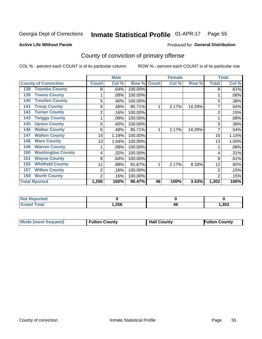## Inmate Statistical Profile 01-APR-17 Page 55

#### **Active Life Without Parole**

### **Produced for General Distribution**

## County of conviction of primary offense

COL % - percent each COUNT is of its particular column

|                                 |              | <b>Male</b> |         |              | <b>Female</b> |        | <b>Total</b>   |       |
|---------------------------------|--------------|-------------|---------|--------------|---------------|--------|----------------|-------|
| <b>County of Conviction</b>     | <b>Count</b> | Col %       | Row %   | <b>Count</b> | Col %         | Row %  | <b>Total</b>   | Col % |
| <b>Toombs County</b><br>138     | 8            | .64%        | 100.00% |              |               |        | 8              | .61%  |
| <b>Towns County</b><br>139      |              | .08%        | 100.00% |              |               |        |                | .08%  |
| <b>Treutlen County</b><br>140   | 5            | .40%        | 100.00% |              |               |        | 5              | .38%  |
| <b>Troup County</b><br>141      | 6            | .48%        | 85.71%  |              | 2.17%         | 14.29% | 7              | .54%  |
| <b>Turner County</b><br>142     | 2            | .16%        | 100.00% |              |               |        | $\overline{2}$ | .15%  |
| <b>Twiggs County</b><br>143     |              | .08%        | 100.00% |              |               |        |                | .08%  |
| <b>Upson County</b><br>145      | 5            | .40%        | 100.00% |              |               |        | 5              | .38%  |
| <b>Walker County</b><br>146     | 6            | .48%        | 85.71%  |              | 2.17%         | 14.29% | 7              | .54%  |
| <b>Walton County</b><br>147     | 15           | 1.19%       | 100.00% |              |               |        | 15             | 1.15% |
| <b>Ware County</b><br>148       | 13           | 1.04%       | 100.00% |              |               |        | 13             | 1.00% |
| <b>Warren County</b><br>149     |              | .08%        | 100.00% |              |               |        |                | .08%  |
| <b>Washington County</b><br>150 | 4            | .32%        | 100.00% |              |               |        | 4              | .31%  |
| <b>Wayne County</b><br>151      | 8            | .64%        | 100.00% |              |               |        | 8              | .61%  |
| <b>Whitfield County</b><br>155  | 11           | .88%        | 91.67%  | 1            | 2.17%         | 8.33%  | 12             | .92%  |
| <b>Wilkes County</b><br>157     | 2            | .16%        | 100.00% |              |               |        | $\overline{2}$ | .15%  |
| <b>Worth County</b><br>159      | 2            | .16%        | 100.00% |              |               |        | 2              | .15%  |
| <b>Total Rported</b>            | 1,256        | 100%        | 96.47%  | 46           | 100%          | 3.53%  | 1,302          | 100%  |

| <b>Not Reported</b> |      |    |      |
|---------------------|------|----|------|
| Total               | ,256 | 4L | ,302 |

| Mode (most frequent) | <b>Fulton County</b> | <b>Hall County</b> | <b>Fulton County</b> |
|----------------------|----------------------|--------------------|----------------------|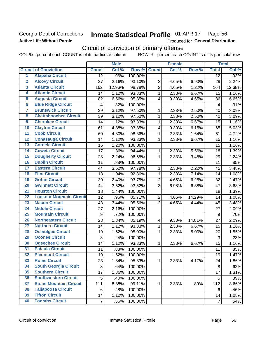### Georgia Dept of Corrections **Active Life Without Parole**

## Inmate Statistical Profile 01-APR-17 Page 56

Produced for General Distribution

## Circuit of conviction of primary offense

COL % - percent each COUNT is of its particular column ROW % - percent each COUNT is of its particular row

|                         |                                 |                 | <b>Male</b> |         |                         | <b>Female</b> |        |                | <b>Total</b> |
|-------------------------|---------------------------------|-----------------|-------------|---------|-------------------------|---------------|--------|----------------|--------------|
|                         | <b>Circuit of Conviction</b>    | <b>Count</b>    | Col %       | Row %   | <b>Count</b>            | Col %         | Row %  | <b>Total</b>   | Col %        |
| 1                       | <b>Alapaha Circuit</b>          | $\overline{12}$ | .96%        | 100.00% |                         |               |        | 12             | .93%         |
| $\overline{2}$          | <b>Alcovy Circuit</b>           | 27              | 2.16%       | 93.10%  | $\overline{2}$          | 4.65%         | 6.90%  | 29             | 2.24%        |
| $\overline{3}$          | <b>Atlanta Circuit</b>          | 162             | 12.96%      | 98.78%  | $\overline{2}$          | 4.65%         | 1.22%  | 164            | 12.68%       |
| 4                       | <b>Atlantic Circuit</b>         | 14              | 1.12%       | 93.33%  | 1                       | 2.33%         | 6.67%  | 15             | 1.16%        |
| $\overline{5}$          | <b>Augusta Circuit</b>          | 82              | 6.56%       | 95.35%  | 4                       | 9.30%         | 4.65%  | 86             | 6.65%        |
| $\overline{\bf{6}}$     | <b>Blue Ridge Circuit</b>       | 4               | .32%        | 100.00% |                         |               |        | 4              | .31%         |
| 7                       | <b>Brunswick Circuit</b>        | 39              | 3.12%       | 97.50%  | 1                       | 2.33%         | 2.50%  | 40             | 3.09%        |
| $\overline{\mathbf{8}}$ | <b>Chattahoochee Circuit</b>    | 39              | 3.12%       | 97.50%  | 1                       | 2.33%         | 2.50%  | 40             | 3.09%        |
| $\overline{9}$          | <b>Cherokee Circuit</b>         | 14              | 1.12%       | 93.33%  | 1                       | 2.33%         | 6.67%  | 15             | 1.16%        |
| 10                      | <b>Clayton Circuit</b>          | 61              | 4.88%       | 93.85%  | 4                       | 9.30%         | 6.15%  | 65             | 5.03%        |
| $\overline{11}$         | <b>Cobb Circuit</b>             | 60              | 4.80%       | 98.36%  | $\mathbf{1}$            | 2.33%         | 1.64%  | 61             | 4.72%        |
| $\overline{12}$         | <b>Conasauga Circuit</b>        | 14              | 1.12%       | 93.33%  | 1                       | 2.33%         | 6.67%  | 15             | 1.16%        |
| 13                      | <b>Cordele Circuit</b>          | 15              | 1.20%       | 100.00% |                         |               |        | 15             | 1.16%        |
| 14                      | <b>Coweta Circuit</b>           | 17              | 1.36%       | 94.44%  | 1                       | 2.33%         | 5.56%  | 18             | 1.39%        |
| $\overline{15}$         | <b>Dougherty Circuit</b>        | 28              | 2.24%       | 96.55%  | 1                       | 2.33%         | 3.45%  | 29             | 2.24%        |
| 16                      | <b>Dublin Circuit</b>           | 11              | .88%        | 100.00% |                         |               |        | 11             | .85%         |
| 17                      | <b>Eastern Circuit</b>          | 44              | 3.52%       | 97.78%  | 1                       | 2.33%         | 2.22%  | 45             | 3.48%        |
| $\overline{18}$         | <b>Flint Circuit</b>            | 13              | 1.04%       | 92.86%  | 1                       | 2.33%         | 7.14%  | 14             | 1.08%        |
| 19                      | <b>Griffin Circuit</b>          | 30              | 2.40%       | 93.75%  | $\overline{2}$          | 4.65%         | 6.25%  | 32             | 2.47%        |
| $\overline{20}$         | <b>Gwinnett Circuit</b>         | 44              | 3.52%       | 93.62%  | 3                       | 6.98%         | 6.38%  | 47             | 3.63%        |
| $\overline{21}$         | <b>Houston Circuit</b>          | 18              | 1.44%       | 100.00% |                         |               |        | 18             | 1.39%        |
| $\overline{22}$         | <b>Lookout Mountain Circuit</b> | 12              | .96%        | 85.71%  | $\overline{2}$          | 4.65%         | 14.29% | 14             | 1.08%        |
| 23                      | <b>Macon Circuit</b>            | 43              | 3.44%       | 95.56%  | $\overline{2}$          | 4.65%         | 4.44%  | 45             | 3.48%        |
| $\overline{24}$         | <b>Middle Circuit</b>           | 27              | 2.16%       | 100.00% |                         |               |        | 27             | 2.09%        |
| $\overline{25}$         | <b>Mountain Circuit</b>         | 9               | .72%        | 100.00% |                         |               |        | 9              | .70%         |
| 26                      | <b>Northeastern Circuit</b>     | 23              | 1.84%       | 85.19%  | $\overline{\mathbf{4}}$ | 9.30%         | 14.81% | 27             | 2.09%        |
| $\overline{27}$         | <b>Northern Circuit</b>         | 14              | 1.12%       | 93.33%  | 1                       | 2.33%         | 6.67%  | 15             | 1.16%        |
| 28                      | <b>Ocmulgee Circuit</b>         | 19              | 1.52%       | 95.00%  | 1                       | 2.33%         | 5.00%  | 20             | 1.55%        |
| 29                      | <b>Oconee Circuit</b>           | 3               | .24%        | 100.00% |                         |               |        | 3              | .23%         |
| 30                      | <b>Ogeechee Circuit</b>         | 14              | 1.12%       | 93.33%  | 1                       | 2.33%         | 6.67%  | 15             | 1.16%        |
| $\overline{31}$         | <b>Pataula Circuit</b>          | 11              | .88%        | 100.00% |                         |               |        | 11             | .85%         |
| 32                      | <b>Piedmont Circuit</b>         | 19              | 1.52%       | 100.00% |                         |               |        | 19             | 1.47%        |
| 33                      | <b>Rome Circuit</b>             | 23              | 1.84%       | 95.83%  | $\mathbf{1}$            | 2.33%         | 4.17%  | 24             | 1.86%        |
| 34                      | <b>South Georgia Circuit</b>    | 8               | .64%        | 100.00% |                         |               |        | 8              | .62%         |
| 35                      | <b>Southern Circuit</b>         | 17              | 1.36%       | 100.00% |                         |               |        | 17             | 1.31%        |
| 36                      | <b>Southwestern Circuit</b>     | 5               | .40%        | 100.00% |                         |               |        | 5              | .39%         |
| 37                      | <b>Stone Mountain Circuit</b>   | 111             | 8.88%       | 99.11%  | 1                       | 2.33%         | .89%   | 112            | 8.66%        |
| 38                      | <b>Tallapoosa Circuit</b>       | 6               | .48%        | 100.00% |                         |               |        | 6              | .46%         |
| 39                      | <b>Tifton Circuit</b>           | 14              | 1.12%       | 100.00% |                         |               |        | 14             | 1.08%        |
| 40                      | <b>Toombs Circuit</b>           | $\overline{7}$  | .56%        | 100.00% |                         |               |        | $\overline{7}$ | .54%         |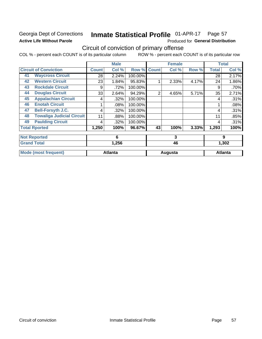### Georgia Dept of Corrections **Active Life Without Parole**

#### Inmate Statistical Profile 01-APR-17 Page 57

Produced for General Distribution

## Circuit of conviction of primary offense

COL % - percent each COUNT is of its particular column ROW % - percent each COUNT is of its particular row

|    |                                  |              | <b>Male</b>    |         |              | <b>Female</b> |       |              | <b>Total</b>   |
|----|----------------------------------|--------------|----------------|---------|--------------|---------------|-------|--------------|----------------|
|    | <b>Circuit of Conviction</b>     | <b>Count</b> | Col %          | Row %   | <b>Count</b> | Col %         | Row % | <b>Total</b> | Col %          |
| 41 | <b>Waycross Circuit</b>          | 28           | 2.24%          | 100.00% |              |               |       | 28           | 2.17%          |
| 42 | <b>Western Circuit</b>           | 23           | 1.84%          | 95.83%  |              | 2.33%         | 4.17% | 24           | 1.86%          |
| 43 | <b>Rockdale Circuit</b>          | 9            | .72%           | 100.00% |              |               |       | 9            | .70%           |
| 44 | <b>Douglas Circuit</b>           | 33           | 2.64%          | 94.29%  | 2            | 4.65%         | 5.71% | 35           | 2.71%          |
| 45 | <b>Appalachian Circuit</b>       | 4            | .32%           | 100.00% |              |               |       | 4            | .31%           |
| 46 | <b>Enotah Circuit</b>            |              | .08%           | 100.00% |              |               |       |              | .08%           |
| 47 | <b>Bell-Forsyth J.C.</b>         | 4            | .32%           | 100.00% |              |               |       | 4            | .31%           |
| 48 | <b>Towaliga Judicial Circuit</b> | 11           | .88%           | 100.00% |              |               |       | 11           | .85%           |
| 49 | <b>Paulding Circuit</b>          | 4            | .32%           | 100.00% |              |               |       | 4            | .31%           |
|    | <b>Total Rported</b>             | 1,250        | 100%           | 96.67%  | 43           | 100%          | 3.33% | 1,293        | 100%           |
|    | <b>Not Reported</b>              |              | 6              |         |              | 3             |       |              | 9              |
|    | <b>Grand Total</b>               |              | 1,256          |         |              | 46            |       |              | 1,302          |
|    | <b>Mode (most frequent)</b>      |              | <b>Atlanta</b> |         |              | Augusta       |       |              | <b>Atlanta</b> |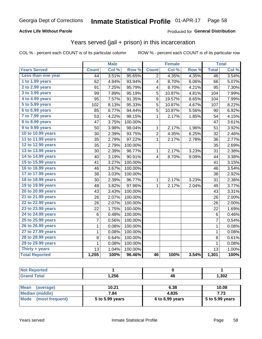### **Active Life Without Parole**

### Produced for General Distribution

## Years served (jail + prison) in this incarceration

COL % - percent each COUNT is of its particular column

|                        |                 | <b>Male</b> |         |                | <b>Female</b> |       |                 | <b>Total</b> |
|------------------------|-----------------|-------------|---------|----------------|---------------|-------|-----------------|--------------|
| <b>Years Served</b>    | <b>Count</b>    | Col %       | Row %   | <b>Count</b>   | Col %         | Row % | <b>Total</b>    | Col %        |
| Less than one year     | $\overline{44}$ | 3.51%       | 95.65%  | $\overline{2}$ | 4.35%         | 4.35% | $\overline{46}$ | 3.54%        |
| 1 to 1.99 years        | 62              | 4.94%       | 93.94%  | 4              | 8.70%         | 6.06% | 66              | 5.07%        |
| 2 to 2.99 years        | 91              | 7.25%       | 95.79%  | 4              | 8.70%         | 4.21% | 95              | 7.30%        |
| 3 to 3.99 years        | 99              | 7.89%       | 95.19%  | 5              | 10.87%        | 4.81% | 104             | 7.99%        |
| 4 to 4.99 years        | 95              | 7.57%       | 91.35%  | 9              | 19.57%        | 8.65% | 104             | 7.99%        |
| 5 to 5.99 years        | 102             | 8.13%       | 95.33%  | 5              | 10.87%        | 4.67% | 107             | 8.22%        |
| 6 to 6.99 years        | 85              | 6.77%       | 94.44%  | 5              | 10.87%        | 5.56% | 90              | 6.92%        |
| 7 to 7.99 years        | 53              | 4.22%       | 98.15%  | 1              | 2.17%         | 1.85% | 54              | 4.15%        |
| <b>8 to 8.99 years</b> | 47              | 3.75%       | 100.00% |                |               |       | 47              | 3.61%        |
| 9 to 9.99 years        | 50              | 3.98%       | 98.04%  | 1              | 2.17%         | 1.96% | 51              | 3.92%        |
| 10 to 10.99 years      | 30              | 2.39%       | 93.75%  | $\overline{c}$ | 4.35%         | 6.25% | 32              | 2.46%        |
| 11 to 11.99 years      | 35              | 2.79%       | 97.22%  | 1              | 2.17%         | 2.78% | 36              | 2.77%        |
| 12 to 12.99 years      | 35              | 2.79%       | 100.00% |                |               |       | 35              | 2.69%        |
| 13 to 13.99 years      | 30              | 2.39%       | 96.77%  | 1              | 2.17%         | 3.23% | 31              | 2.38%        |
| 14 to 14.99 years      | 40              | 3.19%       | 90.91%  | 4              | 8.70%         | 9.09% | 44              | 3.38%        |
| 15 to 15.99 years      | 41              | 3.27%       | 100.00% |                |               |       | 41              | 3.15%        |
| 16 to 16.99 years      | 46              | 3.67%       | 100.00% |                |               |       | 46              | 3.54%        |
| 17 to 17.99 years      | 38              | 3.03%       | 100.00% |                |               |       | 38              | 2.92%        |
| 18 to 18.99 years      | 30              | 2.39%       | 96.77%  | 1              | 2.17%         | 3.23% | 31              | 2.38%        |
| 19 to 19.99 years      | 48              | 3.82%       | 97.96%  | $\mathbf 1$    | 2.17%         | 2.04% | 49              | 3.77%        |
| 20 to 20.99 years      | 43              | 3.43%       | 100.00% |                |               |       | 43              | 3.31%        |
| 21 to 21.99 years      | 26              | 2.07%       | 100.00% |                |               |       | 26              | 2.00%        |
| 22 to 22.99 years      | 26              | 2.07%       | 100.00% |                |               |       | 26              | 2.00%        |
| 23 to 23.99 years      | 22              | 1.75%       | 100.00% |                |               |       | 22              | 1.69%        |
| 24 to 24.99 years      | 6               | 0.48%       | 100.00% |                |               |       | 6               | 0.46%        |
| 25 to 25.99 years      | 7               | 0.56%       | 100.00% |                |               |       | 7               | 0.54%        |
| 26 to 26.99 years      | $\mathbf 1$     | 0.08%       | 100.00% |                |               |       | $\mathbf 1$     | 0.08%        |
| 27 to 27.99 years      | $\mathbf 1$     | 0.08%       | 100.00% |                |               |       | $\mathbf 1$     | 0.08%        |
| 28 to 28.99 years      | 8               | 0.64%       | 100.00% |                |               |       | 8               | 0.61%        |
| 29 to 29.99 years      | 1               | 0.08%       | 100.00% |                |               |       | 1               | 0.08%        |
| Thirty + years         | 13              | 1.04%       | 100.00% |                |               |       | 13              | 1.00%        |
| <b>Total Reported</b>  | 1,255           | 100%        | 96.46%  | 46             | 100%          | 3.54% | 1,301           | 100%         |

| <b>Not Reported</b> |       |     |       |
|---------------------|-------|-----|-------|
| <b>Grand Total</b>  | 1,256 | 46  | 1,302 |
|                     | ___   | ___ | ___   |

| <b>Mean</b><br>(average) | 10.21           | 6.38              | 10.08             |
|--------------------------|-----------------|-------------------|-------------------|
| Median (middle)          | 7.84            | 4.835             | 7.73              |
| Mode (most frequent)     | 5 to 5.99 years | $6$ to 6.99 years | $5$ to 5.99 years |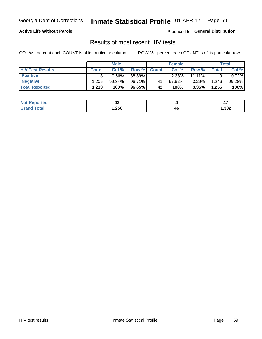#### Inmate Statistical Profile 01-APR-17 Page 59

### **Active Life Without Parole**

**Produced for General Distribution** 

### Results of most recent HIV tests

COL % - percent each COUNT is of its particular column

|                         | <b>Male</b>  |           |        | <b>Female</b> |          |           | Total |        |
|-------------------------|--------------|-----------|--------|---------------|----------|-----------|-------|--------|
| <b>HIV Test Results</b> | <b>Count</b> | Col%      | Row %I | <b>Count</b>  | Col %    | Row %     | Total | Col %  |
| <b>Positive</b>         |              | $0.66\%$  | 88.89% |               | $2.38\%$ | $11.11\%$ |       | 0.72%  |
| <b>Negative</b>         | .205         | $99.34\%$ | 96.71% | 41            | 97.62%   | $3.29\%$  | 1,246 | 99.28% |
| <b>Total Reported</b>   | 1,213        | 100%      | 96.65% | 42            | 100%     | 3.35%     | 1,255 | 100%   |

| <b>Not Reported</b> | - 1    |              | . .  |
|---------------------|--------|--------------|------|
| <b>Total</b>        | 256, ا | 46<br>$\sim$ | ,302 |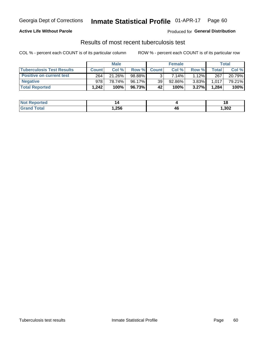## Georgia Dept of Corrections **Inmate Statistical Profile** 01-APR-17 Page 60

### **Active Life Without Parole**

Produced for **General Distribution**

## Results of most recent tuberculosis test

COL % - percent each COUNT is of its particular column ROW % - percent each COUNT is of its particular row

|                                  | <b>Male</b>  |        |        | <b>Female</b> |           |          | Total |        |
|----------------------------------|--------------|--------|--------|---------------|-----------|----------|-------|--------|
| <b>Tuberculosis Test Results</b> | <b>Count</b> | Col%   | Row %I | <b>Count</b>  | Col%      | Row %    | Total | Col %  |
| <b>Positive on current test</b>  | 264          | 21.26% | 98.88% |               | 7.14%     | $1.12\%$ | 267   | 20.79% |
| <b>Negative</b>                  | 978          | 78.74% | 96.17% | 39            | $92.86\%$ | $3.83\%$ | 1,017 | 79.21% |
| <b>Total Reported</b>            | .242         | 100%   | 96.73% | 42            | 100%      | 3.27%    | 1,284 | 100%   |

| <b>Not Reported</b>      |        |                      | 10     |
|--------------------------|--------|----------------------|--------|
| <b>Total</b><br>$C$ roni | 256, ا | /I 6<br>−~<br>$\sim$ | 302, ا |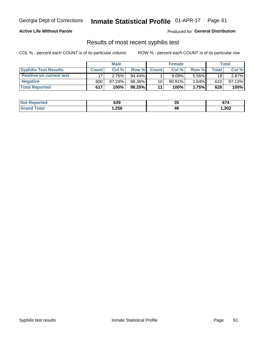## Georgia Dept of Corrections **Inmate Statistical Profile** 01-APR-17 Page 61

### **Active Life Without Parole**

Produced for **General Distribution**

### Results of most recent syphilis test

COL % - percent each COUNT is of its particular column ROW % - percent each COUNT is of its particular row

|                                 | <b>Male</b>  |        |           | <b>Female</b> |           |       | Total        |        |
|---------------------------------|--------------|--------|-----------|---------------|-----------|-------|--------------|--------|
| <b>Syphilis Test Results</b>    | <b>Count</b> | Col%   | Row %     | <b>Count</b>  | Col %     | Row % | <b>Total</b> | Col %  |
| <b>Positive on current test</b> |              | 2.76%  | $94.44\%$ |               | 9.09%     | 5.56% | 18           | 2.87%  |
| <b>Negative</b>                 | 600          | 97.24% | 98.36%    | 10            | $90.91\%$ | 1.64% | 610          | 97.13% |
| <b>Total Reported</b>           | 617          | 100%   | 98.25%    | 11            | 100%      | 1.75% | 628          | 100%   |

| <b>Not Reported</b> | 639   | つじ<br>◡ | 674    |
|---------------------|-------|---------|--------|
| <b>Grand Total</b>  | 256,، | 46      | 302, ا |